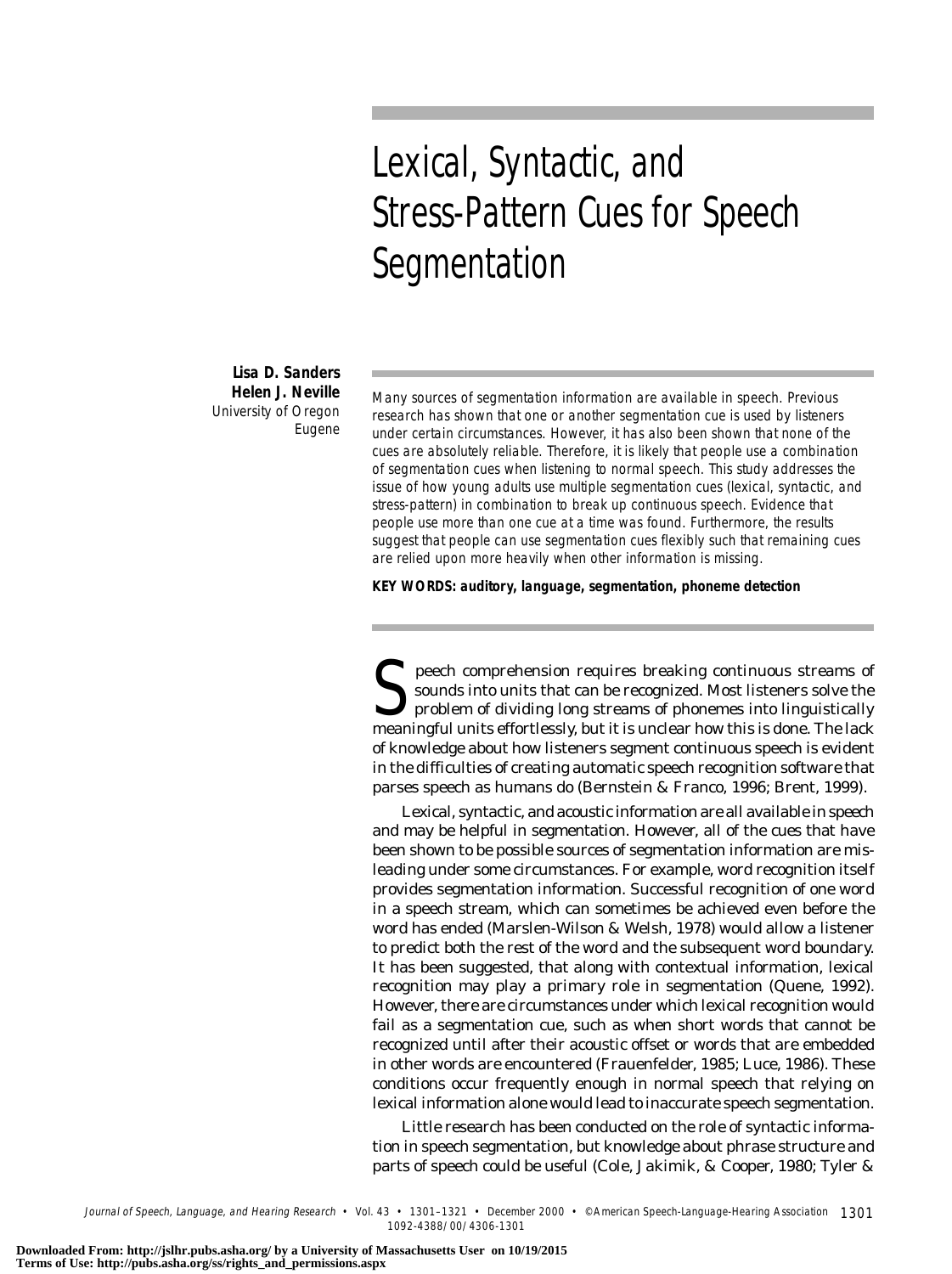# Lexical, Syntactic, and Stress-Pattern Cues for Speech **Segmentation**

**Lisa D. Sanders Helen J. Neville** University of Oregon Eugene

Many sources of segmentation information are available in speech. Previous research has shown that one or another segmentation cue is used by listeners under certain circumstances. However, it has also been shown that none of the cues are absolutely reliable. Therefore, it is likely that people use a combination of segmentation cues when listening to normal speech. This study addresses the issue of how young adults use multiple segmentation cues (lexical, syntactic, and stress-pattern) in combination to break up continuous speech. Evidence that people use more than one cue at a time was found. Furthermore, the results suggest that people can use segmentation cues flexibly such that remaining cues are relied upon more heavily when other information is missing.

**KEY WORDS: auditory, language, segmentation, phoneme detection**

peech comprehension requires breaking continuous streams of sounds into units that can be recognized. Most listeners solve the problem of dividing long streams of phonemes into linguistically meaningful units effortlessly, but it is unclear how this is done. The lack of knowledge about how listeners segment continuous speech is evident in the difficulties of creating automatic speech recognition software that parses speech as humans do (Bernstein & Franco, 1996; Brent, 1999).

Lexical, syntactic, and acoustic information are all available in speech and may be helpful in segmentation. However, all of the cues that have been shown to be possible sources of segmentation information are misleading under some circumstances. For example, word recognition itself provides segmentation information. Successful recognition of one word in a speech stream, which can sometimes be achieved even before the word has ended (Marslen-Wilson & Welsh, 1978) would allow a listener to predict both the rest of the word and the subsequent word boundary. It has been suggested, that along with contextual information, lexical recognition may play a primary role in segmentation (Quene, 1992). However, there are circumstances under which lexical recognition would fail as a segmentation cue, such as when short words that cannot be recognized until after their acoustic offset or words that are embedded in other words are encountered (Frauenfelder, 1985; Luce, 1986). These conditions occur frequently enough in normal speech that relying on lexical information alone would lead to inaccurate speech segmentation.

Little research has been conducted on the role of syntactic information in speech segmentation, but knowledge about phrase structure and parts of speech could be useful (Cole, Jakimik, & Cooper, 1980; Tyler &

Journal of Speech, Language, and Hearing Research • Vol. 43 • 1301–1321 • December 2000 • ©American Speech-Language-Hearing Association 1301 1092-4388/00/4306-1301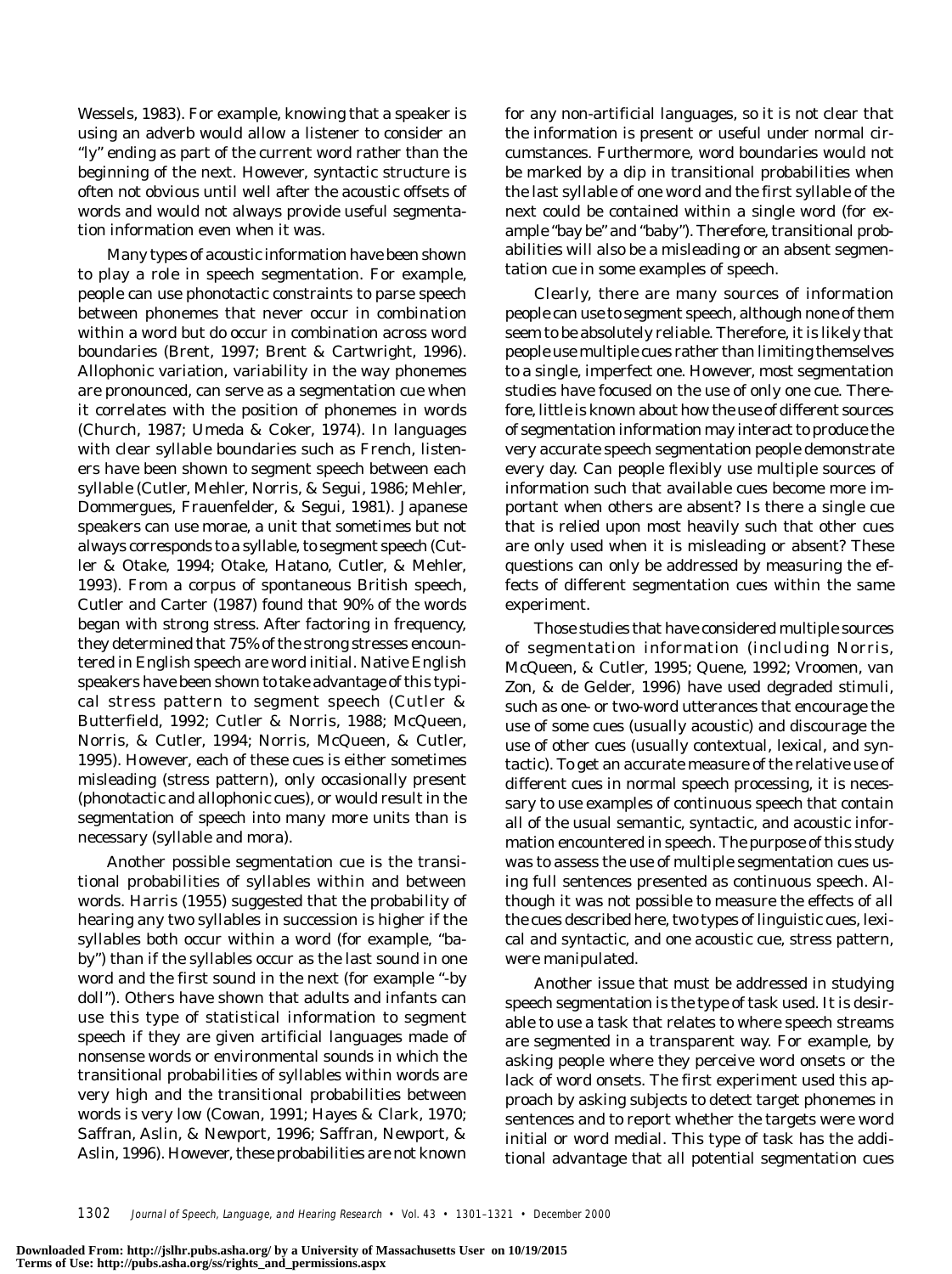Wessels, 1983). For example, knowing that a speaker is using an adverb would allow a listener to consider an "ly" ending as part of the current word rather than the beginning of the next. However, syntactic structure is often not obvious until well after the acoustic offsets of words and would not always provide useful segmentation information even when it was.

Many types of acoustic information have been shown to play a role in speech segmentation. For example, people can use phonotactic constraints to parse speech between phonemes that never occur in combination within a word but do occur in combination across word boundaries (Brent, 1997; Brent & Cartwright, 1996). Allophonic variation, variability in the way phonemes are pronounced, can serve as a segmentation cue when it correlates with the position of phonemes in words (Church, 1987; Umeda & Coker, 1974). In languages with clear syllable boundaries such as French, listeners have been shown to segment speech between each syllable (Cutler, Mehler, Norris, & Segui, 1986; Mehler, Dommergues, Frauenfelder, & Segui, 1981). Japanese speakers can use morae, a unit that sometimes but not always corresponds to a syllable, to segment speech (Cutler & Otake, 1994; Otake, Hatano, Cutler, & Mehler, 1993). From a corpus of spontaneous British speech, Cutler and Carter (1987) found that 90% of the words began with strong stress. After factoring in frequency, they determined that 75% of the strong stresses encountered in English speech are word initial. Native English speakers have been shown to take advantage of this typical stress pattern to segment speech (Cutler & Butterfield, 1992; Cutler & Norris, 1988; McQueen, Norris, & Cutler, 1994; Norris, McQueen, & Cutler, 1995). However, each of these cues is either sometimes misleading (stress pattern), only occasionally present (phonotactic and allophonic cues), or would result in the segmentation of speech into many more units than is necessary (syllable and mora).

Another possible segmentation cue is the transitional probabilities of syllables within and between words. Harris (1955) suggested that the probability of hearing any two syllables in succession is higher if the syllables both occur within a word (for example, "baby") than if the syllables occur as the last sound in one word and the first sound in the next (for example "-by doll"). Others have shown that adults and infants can use this type of statistical information to segment speech if they are given artificial languages made of nonsense words or environmental sounds in which the transitional probabilities of syllables within words are very high and the transitional probabilities between words is very low (Cowan, 1991; Hayes & Clark, 1970; Saffran, Aslin, & Newport, 1996; Saffran, Newport, & Aslin, 1996). However, these probabilities are not known

for any non-artificial languages, so it is not clear that the information is present or useful under normal circumstances. Furthermore, word boundaries would not be marked by a dip in transitional probabilities when the last syllable of one word and the first syllable of the next could be contained within a single word (for example "bay be" and "baby"). Therefore, transitional probabilities will also be a misleading or an absent segmentation cue in some examples of speech.

Clearly, there are many sources of information people can use to segment speech, although none of them seem to be absolutely reliable. Therefore, it is likely that people use multiple cues rather than limiting themselves to a single, imperfect one. However, most segmentation studies have focused on the use of only one cue. Therefore, little is known about how the use of different sources of segmentation information may interact to produce the very accurate speech segmentation people demonstrate every day. Can people flexibly use multiple sources of information such that available cues become more important when others are absent? Is there a single cue that is relied upon most heavily such that other cues are only used when it is misleading or absent? These questions can only be addressed by measuring the effects of different segmentation cues within the same experiment.

Those studies that have considered multiple sources of segmentation information (including Norris, McQueen, & Cutler, 1995; Quene, 1992; Vroomen, van Zon, & de Gelder, 1996) have used degraded stimuli, such as one- or two-word utterances that encourage the use of some cues (usually acoustic) and discourage the use of other cues (usually contextual, lexical, and syntactic). To get an accurate measure of the relative use of different cues in normal speech processing, it is necessary to use examples of continuous speech that contain all of the usual semantic, syntactic, and acoustic information encountered in speech. The purpose of this study was to assess the use of multiple segmentation cues using full sentences presented as continuous speech. Although it was not possible to measure the effects of all the cues described here, two types of linguistic cues, lexical and syntactic, and one acoustic cue, stress pattern, were manipulated.

Another issue that must be addressed in studying speech segmentation is the type of task used. It is desirable to use a task that relates to where speech streams are segmented in a transparent way. For example, by asking people where they perceive word onsets or the lack of word onsets. The first experiment used this approach by asking subjects to detect target phonemes in sentences and to report whether the targets were word initial or word medial. This type of task has the additional advantage that all potential segmentation cues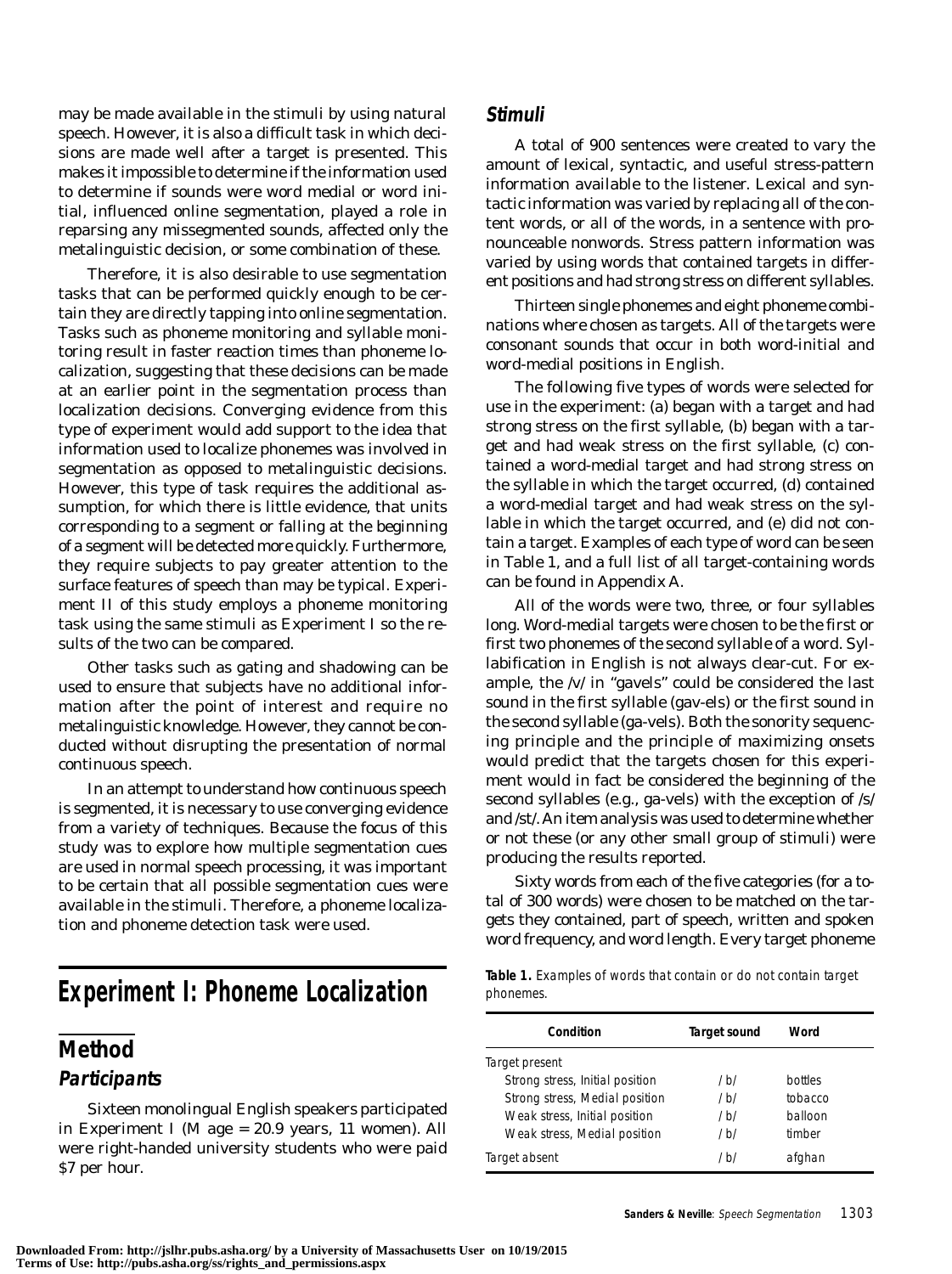may be made available in the stimuli by using natural speech. However, it is also a difficult task in which decisions are made well after a target is presented. This makes it impossible to determine if the information used to determine if sounds were word medial or word initial, influenced online segmentation, played a role in reparsing any missegmented sounds, affected only the metalinguistic decision, or some combination of these.

Therefore, it is also desirable to use segmentation tasks that can be performed quickly enough to be certain they are directly tapping into online segmentation. Tasks such as phoneme monitoring and syllable monitoring result in faster reaction times than phoneme localization, suggesting that these decisions can be made at an earlier point in the segmentation process than localization decisions. Converging evidence from this type of experiment would add support to the idea that information used to localize phonemes was involved in segmentation as opposed to metalinguistic decisions. However, this type of task requires the additional assumption, for which there is little evidence, that units corresponding to a segment or falling at the beginning of a segment will be detected more quickly. Furthermore, they require subjects to pay greater attention to the surface features of speech than may be typical. Experiment II of this study employs a phoneme monitoring task using the same stimuli as Experiment I so the results of the two can be compared.

Other tasks such as gating and shadowing can be used to ensure that subjects have no additional information after the point of interest and require no metalinguistic knowledge. However, they cannot be conducted without disrupting the presentation of normal continuous speech.

In an attempt to understand how continuous speech is segmented, it is necessary to use converging evidence from a variety of techniques. Because the focus of this study was to explore how multiple segmentation cues are used in normal speech processing, it was important to be certain that all possible segmentation cues were available in the stimuli. Therefore, a phoneme localization and phoneme detection task were used.

# **Experiment I: Phoneme Localization**

# **Method Participants**

Sixteen monolingual English speakers participated in Experiment I ( $M$  age = 20.9 years, 11 women). All were right-handed university students who were paid \$7 per hour.

### **Stimuli**

A total of 900 sentences were created to vary the amount of lexical, syntactic, and useful stress-pattern information available to the listener. Lexical and syntactic information was varied by replacing all of the content words, or all of the words, in a sentence with pronounceable nonwords. Stress pattern information was varied by using words that contained targets in different positions and had strong stress on different syllables.

Thirteen single phonemes and eight phoneme combinations where chosen as targets. All of the targets were consonant sounds that occur in both word-initial and word-medial positions in English.

The following five types of words were selected for use in the experiment: (a) began with a target and had strong stress on the first syllable, (b) began with a target and had weak stress on the first syllable, (c) contained a word-medial target and had strong stress on the syllable in which the target occurred, (d) contained a word-medial target and had weak stress on the syllable in which the target occurred, and (e) did not contain a target. Examples of each type of word can be seen in Table 1, and a full list of all target-containing words can be found in Appendix A.

All of the words were two, three, or four syllables long. Word-medial targets were chosen to be the first or first two phonemes of the second syllable of a word. Syllabification in English is not always clear-cut. For example, the /v/ in "gavels" could be considered the last sound in the first syllable (gav-els) or the first sound in the second syllable (ga-vels). Both the sonority sequencing principle and the principle of maximizing onsets would predict that the targets chosen for this experiment would in fact be considered the beginning of the second syllables (e.g., ga-vels) with the exception of /s/ and /st/. An item analysis was used to determine whether or not these (or any other small group of stimuli) were producing the results reported.

Sixty words from each of the five categories (for a total of 300 words) were chosen to be matched on the targets they contained, part of speech, written and spoken word frequency, and word length. Every target phoneme

**Table 1.** Examples of words that contain or do not contain target phonemes.

| Condition                       | Target sound | Word    |
|---------------------------------|--------------|---------|
| Target present                  |              |         |
| Strong stress, Initial position | /h/          | hottles |
| Strong stress, Medial position  | /h/          | tobacco |
| Weak stress, Initial position   | /b/          | halloon |
| Weak stress, Medial position    | /h/          | timber  |
| Target absent                   | /h/          | afghan  |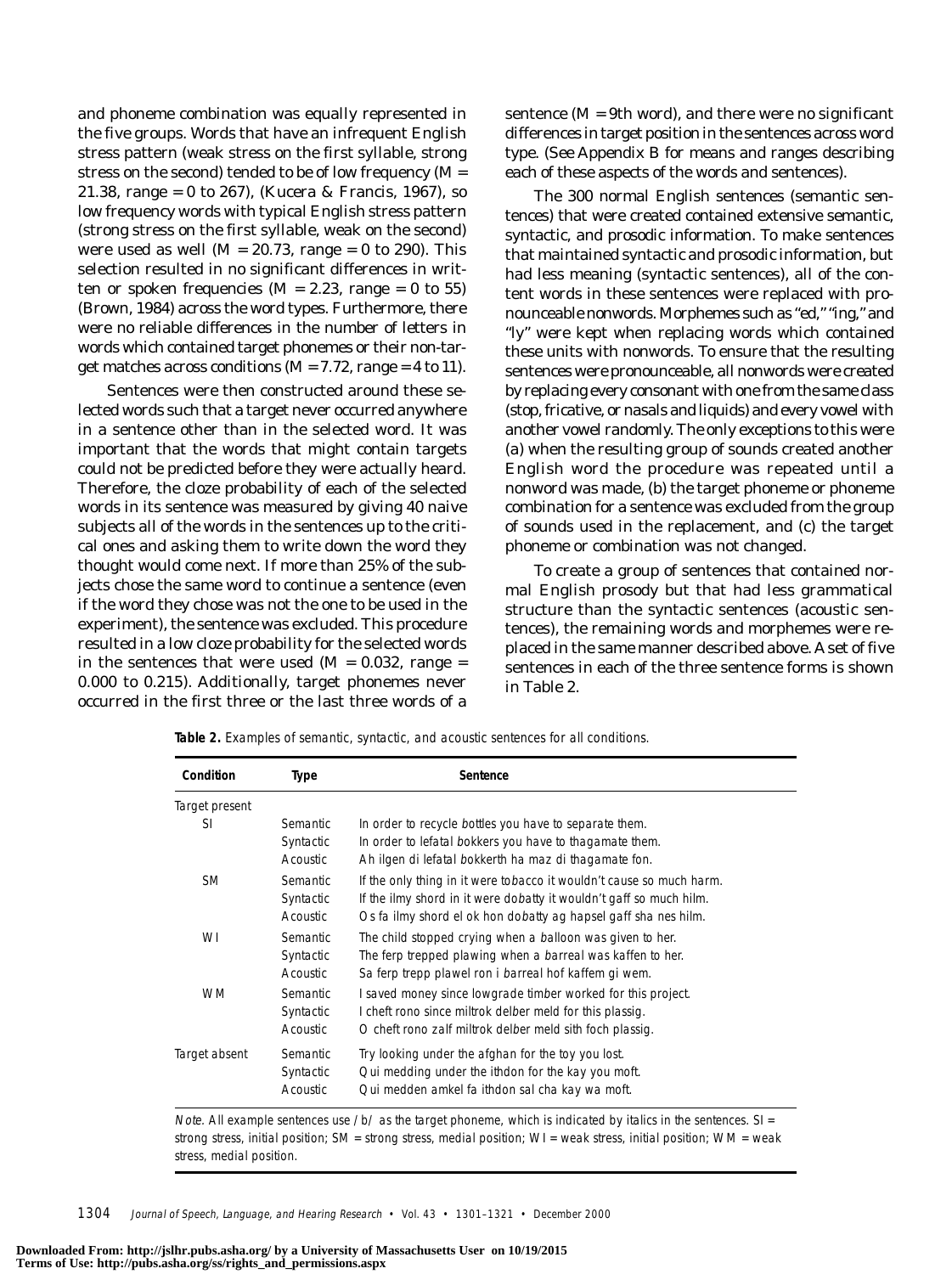and phoneme combination was equally represented in the five groups. Words that have an infrequent English stress pattern (weak stress on the first syllable, strong stress on the second) tended to be of low frequency (*M* = 21.38, range = 0 to 267), (Kucera & Francis, 1967), so low frequency words with typical English stress pattern (strong stress on the first syllable, weak on the second) were used as well  $(M = 20.73$ , range  $= 0$  to 290). This selection resulted in no significant differences in written or spoken frequencies ( $M = 2.23$ , range = 0 to 55) (Brown, 1984) across the word types. Furthermore, there were no reliable differences in the number of letters in words which contained target phonemes or their non-target matches across conditions  $(M = 7.72, \text{range} = 4 \text{ to } 11)$ .

Sentences were then constructed around these selected words such that a target never occurred anywhere in a sentence other than in the selected word. It was important that the words that might contain targets could not be predicted before they were actually heard. Therefore, the cloze probability of each of the selected words in its sentence was measured by giving 40 naive subjects all of the words in the sentences up to the critical ones and asking them to write down the word they thought would come next. If more than 25% of the subjects chose the same word to continue a sentence (even if the word they chose was not the one to be used in the experiment), the sentence was excluded. This procedure resulted in a low cloze probability for the selected words in the sentences that were used  $(M = 0.032, \text{ range} =$ 0.000 to 0.215). Additionally, target phonemes never occurred in the first three or the last three words of a sentence  $(M = 9th$  word), and there were no significant differences in target position in the sentences across word type. (See Appendix B for means and ranges describing each of these aspects of the words and sentences).

The 300 normal English sentences (semantic sentences) that were created contained extensive semantic, syntactic, and prosodic information. To make sentences that maintained syntactic and prosodic information, but had less meaning (syntactic sentences), all of the content words in these sentences were replaced with pronounceable nonwords. Morphemes such as "ed," "ing," and "ly" were kept when replacing words which contained these units with nonwords. To ensure that the resulting sentences were pronounceable, all nonwords were created by replacing every consonant with one from the same class (stop, fricative, or nasals and liquids) and every vowel with another vowel randomly. The only exceptions to this were (a) when the resulting group of sounds created another English word the procedure was repeated until a nonword was made, (b) the target phoneme or phoneme combination for a sentence was excluded from the group of sounds used in the replacement, and (c) the target phoneme or combination was not changed.

To create a group of sentences that contained normal English prosody but that had less grammatical structure than the syntactic sentences (acoustic sentences), the remaining words and morphemes were replaced in the same manner described above. A set of five sentences in each of the three sentence forms is shown in Table 2.

|  |  |  |  | Table 2. Examples of semantic, syntactic, and acoustic sentences for all conditions. |  |
|--|--|--|--|--------------------------------------------------------------------------------------|--|
|  |  |  |  |                                                                                      |  |

| Condition      | Type                                     | Sentence                                                                                                                                                                                                       |
|----------------|------------------------------------------|----------------------------------------------------------------------------------------------------------------------------------------------------------------------------------------------------------------|
| Target present |                                          |                                                                                                                                                                                                                |
| SI.            | <b>Semantic</b><br>Syntactic<br>Acoustic | In order to recycle bottles you have to separate them.<br>In order to lefatal bokkers you have to thagamate them.<br>Ah ilgen di lefatal bokkerth ha maz di thagamate fon.                                     |
| SM.            | <b>Semantic</b><br>Syntactic<br>Acoustic | If the only thing in it were tobacco it wouldn't cause so much harm.<br>If the ilmy shord in it were dobatty it wouldn't gaff so much hilm.<br>Os fa ilmy shord el ok hon dobatty ag hapsel gaff sha nes hilm. |
| WI             | <b>Semantic</b><br>Syntactic<br>Acoustic | The child stopped crying when a balloon was given to her.<br>The ferp trepped plawing when a barreal was kaffen to her.<br>Sa ferp trepp plawel ron i barreal hof kaffem gi wem.                               |
| <b>WM</b>      | <b>Semantic</b><br>Syntactic<br>Acoustic | I saved money since lowgrade timber worked for this project.<br>I cheft rono since miltrok delber meld for this plassig.<br>O cheft rono zalf miltrok delber meld sith foch plassig.                           |
| Target absent  | Semantic<br>Syntactic<br>Acoustic        | Try looking under the afghan for the toy you lost.<br>Qui medding under the ithdon for the kay you moft.<br>Qui medden amkel fa ithdon sal cha kay wa moft.                                                    |

Note. All example sentences use /b/ as the target phoneme, which is indicated by italics in the sentences. SI = strong stress, initial position; SM = strong stress, medial position; WI = weak stress, initial position; WM = weak stress, medial position.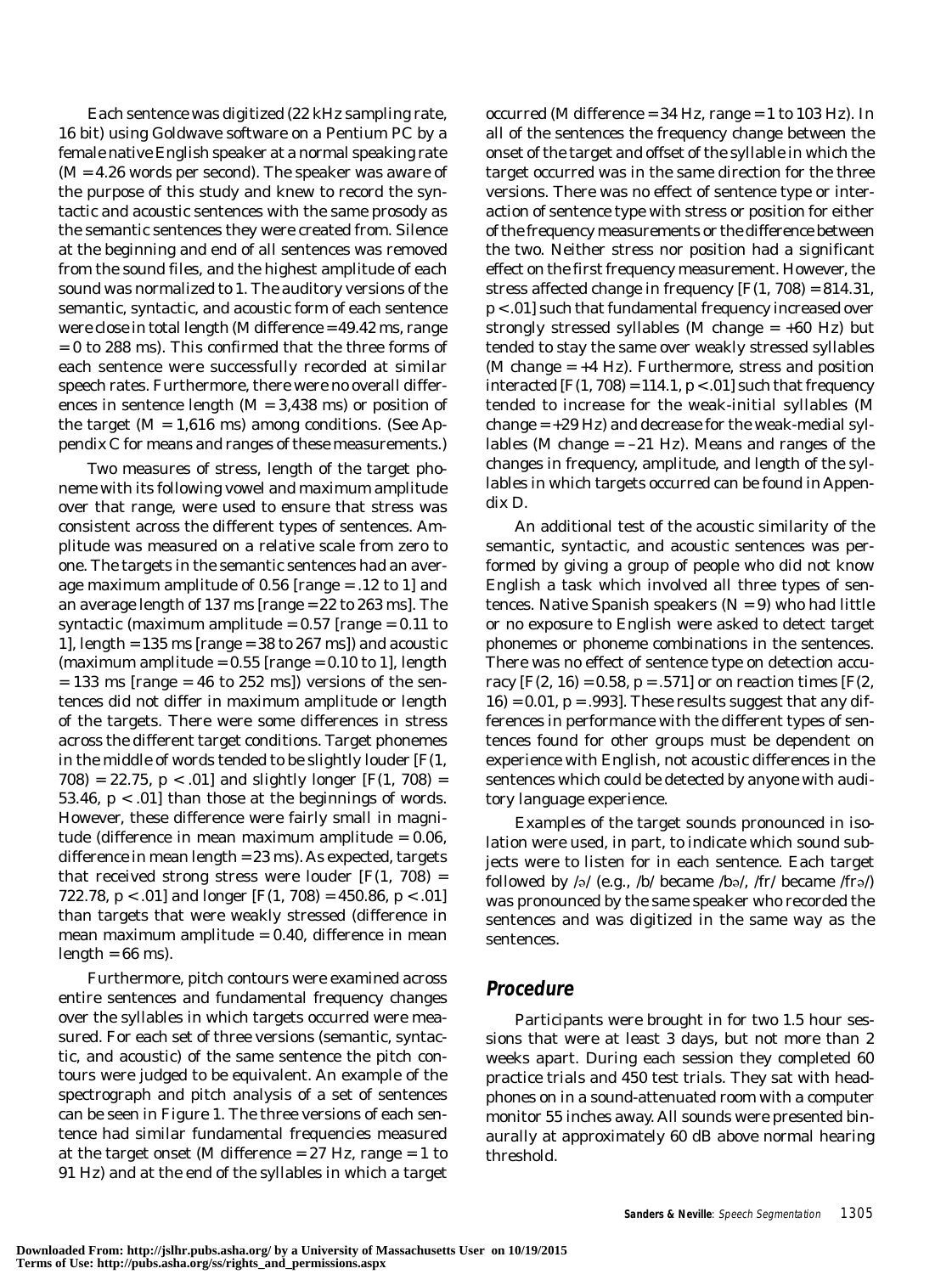Each sentence was digitized (22 kHz sampling rate, 16 bit) using Goldwave software on a Pentium PC by a female native English speaker at a normal speaking rate (*M* = 4.26 words per second). The speaker was aware of the purpose of this study and knew to record the syntactic and acoustic sentences with the same prosody as the semantic sentences they were created from. Silence at the beginning and end of all sentences was removed from the sound files, and the highest amplitude of each sound was normalized to 1. The auditory versions of the semantic, syntactic, and acoustic form of each sentence were close in total length (*M* difference = 49.42 ms, range = 0 to 288 ms). This confirmed that the three forms of each sentence were successfully recorded at similar speech rates. Furthermore, there were no overall differences in sentence length (*M* = 3,438 ms) or position of the target  $(M = 1,616 \text{ ms})$  among conditions. (See Appendix C for means and ranges of these measurements.)

Two measures of stress, length of the target phoneme with its following vowel and maximum amplitude over that range, were used to ensure that stress was consistent across the different types of sentences. Amplitude was measured on a relative scale from zero to one. The targets in the semantic sentences had an average maximum amplitude of 0.56 [range = .12 to 1] and an average length of 137 ms [range = 22 to 263 ms]. The syntactic (maximum amplitude =  $0.57$  [range =  $0.11$  to 1], length =  $135 \text{ ms}$  [range =  $38 \text{ to } 267 \text{ ms}$ ]) and acoustic (maximum amplitude =  $0.55$  [range =  $0.10$  to 1], length  $= 133$  ms [range  $= 46$  to 252 ms]) versions of the sentences did not differ in maximum amplitude or length of the targets. There were some differences in stress across the different target conditions. Target phonemes in the middle of words tended to be slightly louder [*F*(1, 708) = 22.75,  $p < .01$  and slightly longer [ $F(1, 708)$  = 53.46,  $p < .01$ ] than those at the beginnings of words. However, these difference were fairly small in magnitude (difference in mean maximum amplitude = 0.06, difference in mean length = 23 ms). As expected, targets that received strong stress were louder  $[F(1, 708) =$ 722.78, *p* < .01] and longer [*F*(1, 708) = 450.86, *p* < .01] than targets that were weakly stressed (difference in mean maximum amplitude = 0.40, difference in mean  $length = 66$  ms).

Furthermore, pitch contours were examined across entire sentences and fundamental frequency changes over the syllables in which targets occurred were measured. For each set of three versions (semantic, syntactic, and acoustic) of the same sentence the pitch contours were judged to be equivalent. An example of the spectrograph and pitch analysis of a set of sentences can be seen in Figure 1. The three versions of each sentence had similar fundamental frequencies measured at the target onset (*M* difference  $= 27$  Hz, range  $= 1$  to 91 Hz) and at the end of the syllables in which a target

occurred (*M* difference =  $34$  Hz, range = 1 to 103 Hz). In all of the sentences the frequency change between the onset of the target and offset of the syllable in which the target occurred was in the same direction for the three versions. There was no effect of sentence type or interaction of sentence type with stress or position for either of the frequency measurements or the difference between the two. Neither stress nor position had a significant effect on the first frequency measurement. However, the stress affected change in frequency  $[F(1, 708) = 814.31]$ , *p* < .01] such that fundamental frequency increased over strongly stressed syllables (*M* change  $= +60$  Hz) but tended to stay the same over weakly stressed syllables  $(M \text{ change} = +4 \text{ Hz})$ . Furthermore, stress and position interacted  $[F(1, 708) = 114.1, p < .01]$  such that frequency tended to increase for the weak-initial syllables (*M* change  $= +29$  Hz) and decrease for the weak-medial syllables (*M* change  $= -21$  Hz). Means and ranges of the changes in frequency, amplitude, and length of the syllables in which targets occurred can be found in Appendix D.

An additional test of the acoustic similarity of the semantic, syntactic, and acoustic sentences was performed by giving a group of people who did not know English a task which involved all three types of sentences. Native Spanish speakers (*N* = 9) who had little or no exposure to English were asked to detect target phonemes or phoneme combinations in the sentences. There was no effect of sentence type on detection accuracy  $[F(2, 16) = 0.58, p = .571]$  or on reaction times  $[F(2, 16) = 0.58, p = .571]$  $16$  = 0.01,  $p = .993$ . These results suggest that any differences in performance with the different types of sentences found for other groups must be dependent on experience with English, not acoustic differences in the sentences which could be detected by anyone with auditory language experience.

Examples of the target sounds pronounced in isolation were used, in part, to indicate which sound subjects were to listen for in each sentence. Each target followed by  $\sqrt{2}$  (e.g., /b/ became /b $\approx$ /, /fr/ became /fr $\approx$ /) was pronounced by the same speaker who recorded the sentences and was digitized in the same way as the sentences.

#### **Procedure**

Participants were brought in for two 1.5 hour sessions that were at least 3 days, but not more than 2 weeks apart. During each session they completed 60 practice trials and 450 test trials. They sat with headphones on in a sound-attenuated room with a computer monitor 55 inches away. All sounds were presented binaurally at approximately 60 dB above normal hearing threshold.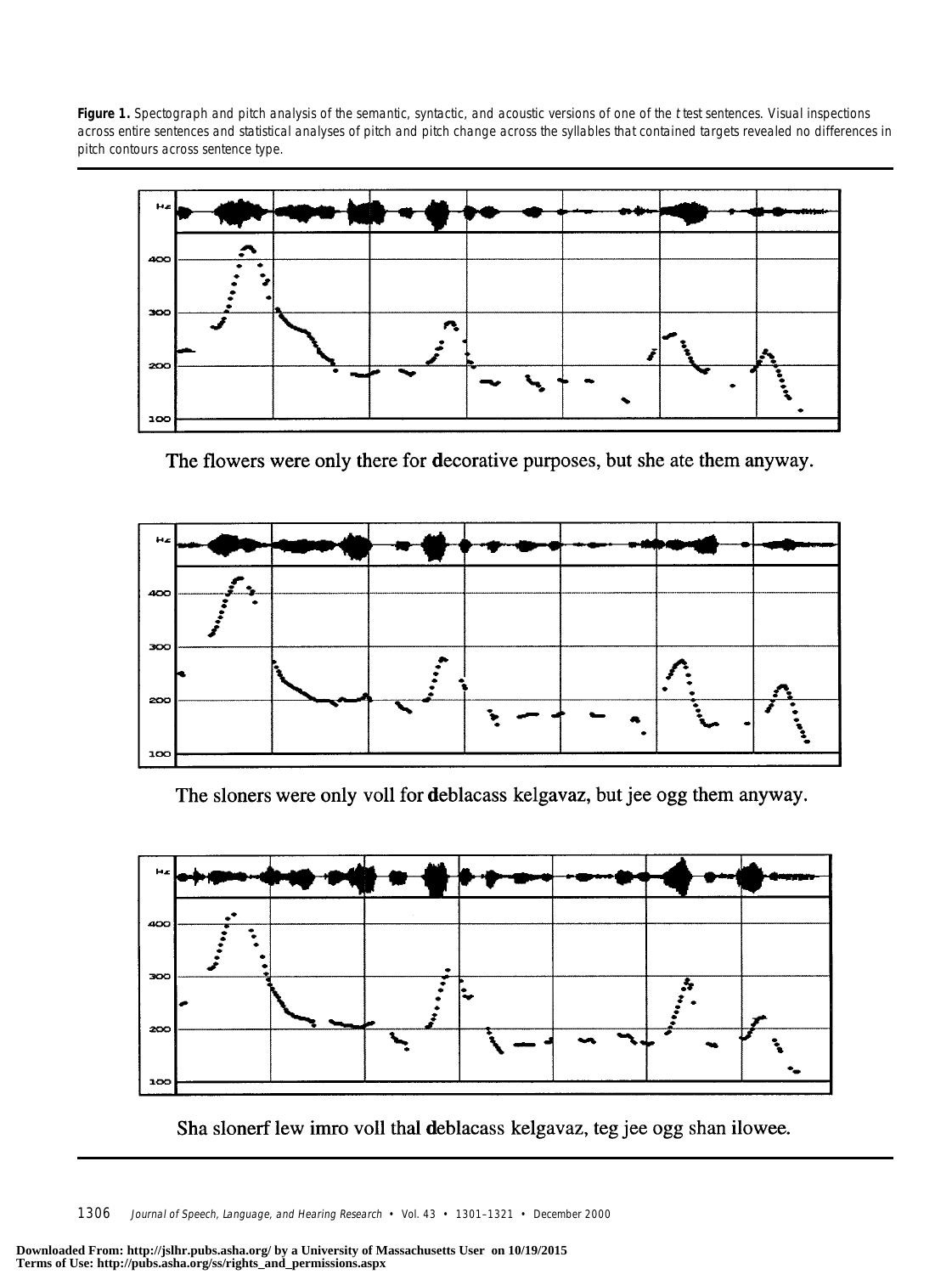Figure 1. Spectograph and pitch analysis of the semantic, syntactic, and acoustic versions of one of the t test sentences. Visual inspections across entire sentences and statistical analyses of pitch and pitch change across the syllables that contained targets revealed no differences in pitch contours across sentence type.



The flowers were only there for decorative purposes, but she ate them anyway.



The sloners were only voll for deblacass kelgavaz, but jee ogg them anyway.



Sha slonerf lew imro voll thal deblacass kelgavaz, teg jee ogg shan ilowee.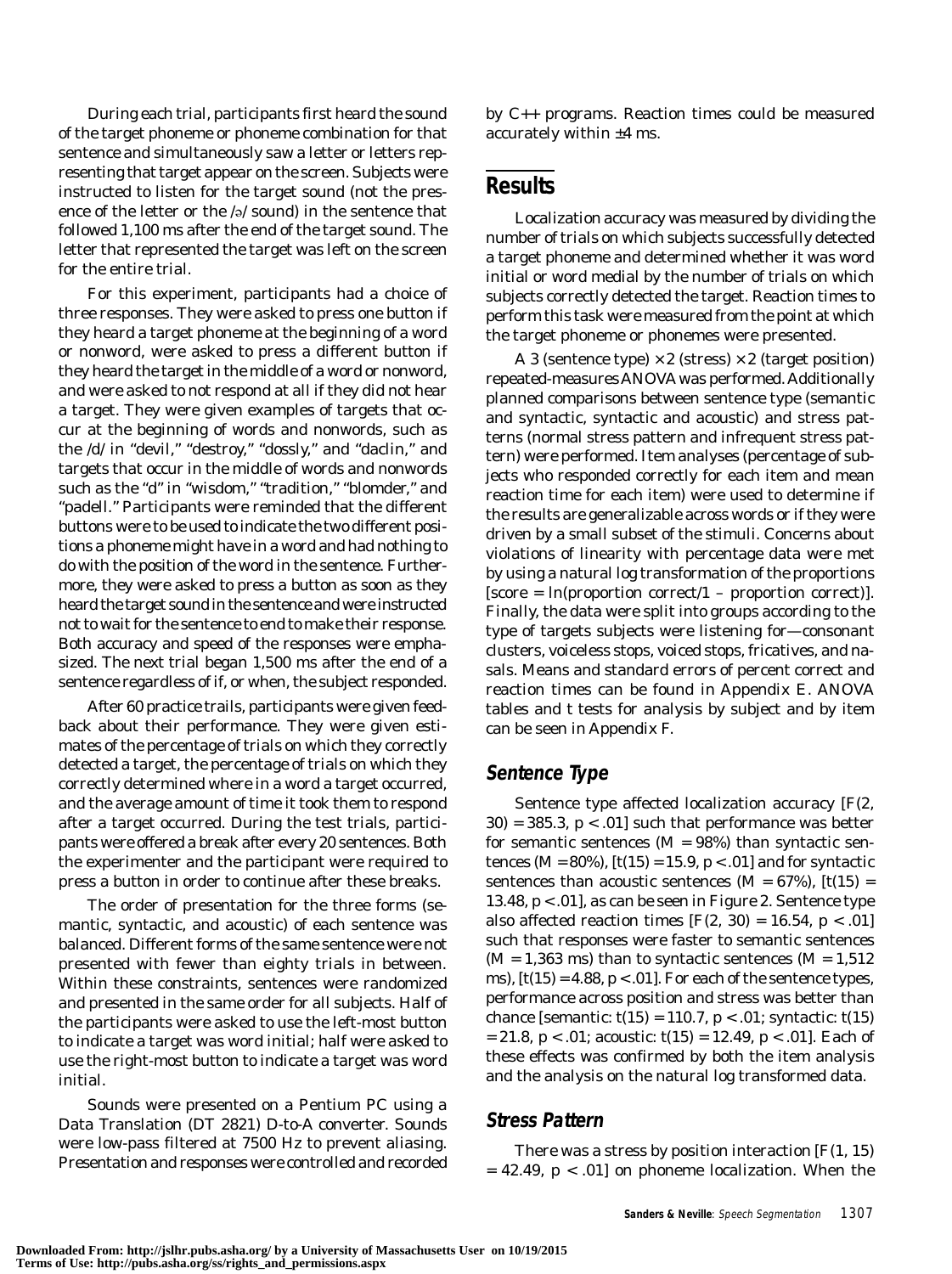During each trial, participants first heard the sound of the target phoneme or phoneme combination for that sentence and simultaneously saw a letter or letters representing that target appear on the screen. Subjects were instructed to listen for the target sound (not the presence of the letter or the  $\sqrt{e}$  sound) in the sentence that followed 1,100 ms after the end of the target sound. The letter that represented the target was left on the screen for the entire trial.

For this experiment, participants had a choice of three responses. They were asked to press one button if they heard a target phoneme at the beginning of a word or nonword, were asked to press a different button if they heard the target in the middle of a word or nonword, and were asked to not respond at all if they did not hear a target. They were given examples of targets that occur at the beginning of words and nonwords, such as the /d/ in "devil," "destroy," "dossly," and "daclin," and targets that occur in the middle of words and nonwords such as the "d" in "wisdom," "tradition," "blomder," and "padell." Participants were reminded that the different buttons were to be used to indicate the two different positions a phoneme might have in a word and had nothing to do with the position of the word in the sentence. Furthermore, they were asked to press a button as soon as they heard the target sound in the sentence and were instructed not to wait for the sentence to end to make their response. Both accuracy and speed of the responses were emphasized. The next trial began 1,500 ms after the end of a sentence regardless of if, or when, the subject responded.

After 60 practice trails, participants were given feedback about their performance. They were given estimates of the percentage of trials on which they correctly detected a target, the percentage of trials on which they correctly determined where in a word a target occurred, and the average amount of time it took them to respond after a target occurred. During the test trials, participants were offered a break after every 20 sentences. Both the experimenter and the participant were required to press a button in order to continue after these breaks.

The order of presentation for the three forms (semantic, syntactic, and acoustic) of each sentence was balanced. Different forms of the same sentence were not presented with fewer than eighty trials in between. Within these constraints, sentences were randomized and presented in the same order for all subjects. Half of the participants were asked to use the left-most button to indicate a target was word initial; half were asked to use the right-most button to indicate a target was word initial.

Sounds were presented on a Pentium PC using a Data Translation (DT 2821) D-to-A converter. Sounds were low-pass filtered at 7500 Hz to prevent aliasing. Presentation and responses were controlled and recorded by C++ programs. Reaction times could be measured accurately within  $\pm 4$  ms.

# **Results**

Localization accuracy was measured by dividing the number of trials on which subjects successfully detected a target phoneme and determined whether it was word initial or word medial by the number of trials on which subjects correctly detected the target. Reaction times to perform this task were measured from the point at which the target phoneme or phonemes were presented.

A 3 (sentence type)  $\times$  2 (stress)  $\times$  2 (target position) repeated-measures ANOVA was performed. Additionally planned comparisons between sentence type (semantic and syntactic, syntactic and acoustic) and stress patterns (normal stress pattern and infrequent stress pattern) were performed. Item analyses (percentage of subjects who responded correctly for each item and mean reaction time for each item) were used to determine if the results are generalizable across words or if they were driven by a small subset of the stimuli. Concerns about violations of linearity with percentage data were met by using a natural log transformation of the proportions  $\left[ \text{score} = \ln(\text{proportion correct}/1 - \text{proportion correct}) \right].$ Finally, the data were split into groups according to the type of targets subjects were listening for—consonant clusters, voiceless stops, voiced stops, fricatives, and nasals. Means and standard errors of percent correct and reaction times can be found in Appendix E. ANOVA tables and *t* tests for analysis by subject and by item can be seen in Appendix F.

# **Sentence Type**

Sentence type affected localization accuracy [*F*(2,  $30$  = 385.3,  $p < .01$  such that performance was better for semantic sentences  $(M = 98\%)$  than syntactic sentences (*M* = 80%), [*t*(15) = 15.9, *p* < .01] and for syntactic sentences than acoustic sentences  $(M = 67\%)$ ,  $[t(15) =$ 13.48,  $p < 0.01$ , as can be seen in Figure 2. Sentence type also affected reaction times  $[F(2, 30) = 16.54, p < .01]$ such that responses were faster to semantic sentences  $(M = 1,363 \text{ ms})$  than to syntactic sentences  $(M = 1,512 \text{ ms})$ ms),  $[t(15) = 4.88, p < .01]$ . For each of the sentence types, performance across position and stress was better than chance [semantic: *t*(15) = 110.7, *p* < .01; syntactic: *t*(15) = 21.8, *p* < .01; acoustic: *t*(15) = 12.49, *p* < .01]. Each of these effects was confirmed by both the item analysis and the analysis on the natural log transformed data.

#### **Stress Pattern**

There was a stress by position interaction [*F*(1, 15)  $= 42.49, p < .01$  on phoneme localization. When the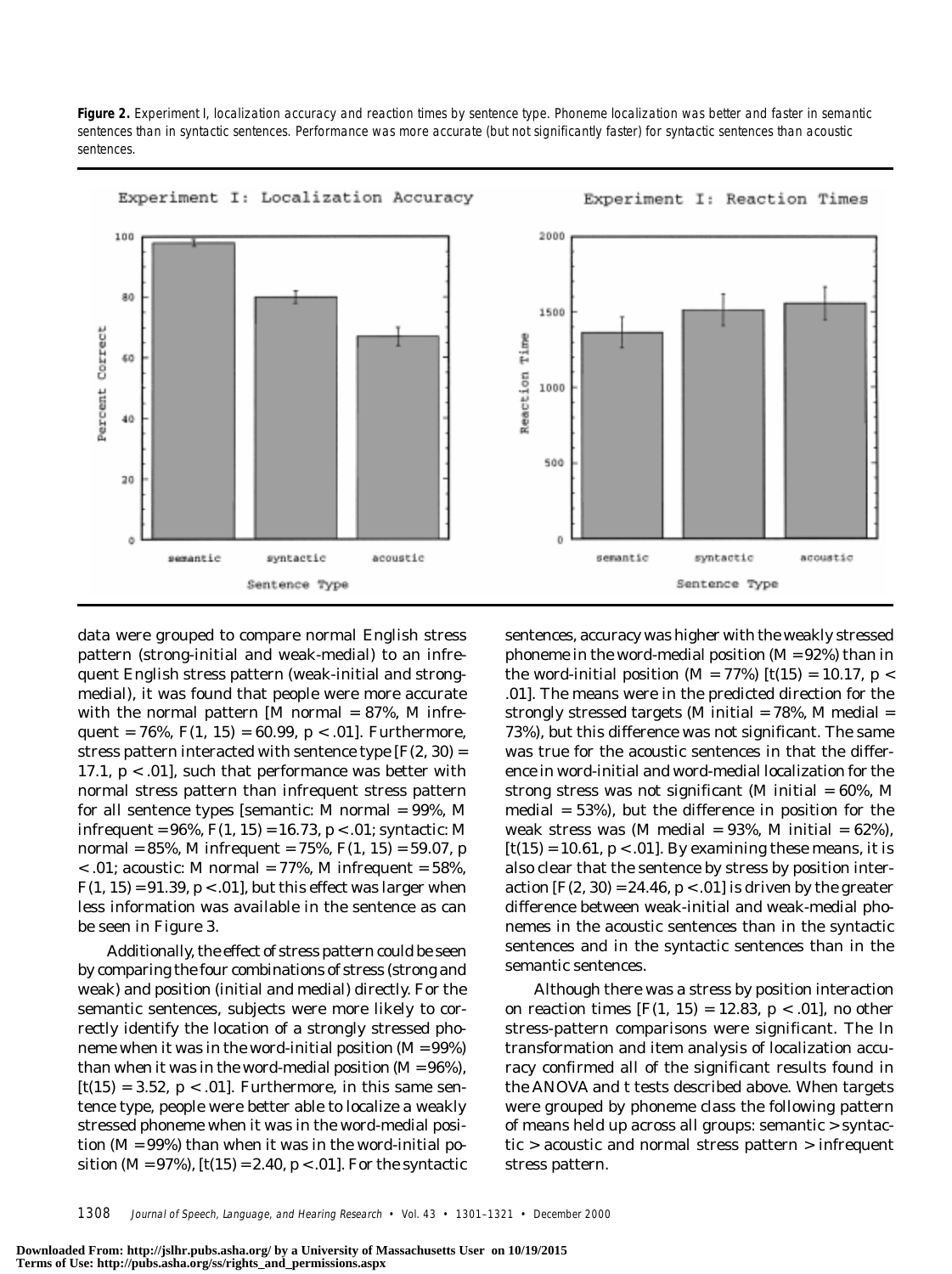**Figure 2.** Experiment I, localization accuracy and reaction times by sentence type. Phoneme localization was better and faster in semantic sentences than in syntactic sentences. Performance was more accurate (but not significantly faster) for syntactic sentences than acoustic sentences.



data were grouped to compare normal English stress pattern (strong-initial and weak-medial) to an infrequent English stress pattern (weak-initial and strongmedial), it was found that people were more accurate with the normal pattern  $[M$  normal = 87%, M infrequent = 76%, *F*(1, 15) = 60.99, *p* < .01]. Furthermore, stress pattern interacted with sentence type  $[F(2, 30) =$ 17.1,  $p < .01$ , such that performance was better with normal stress pattern than infrequent stress pattern for all sentence types [semantic: *M* normal = 99%, *M* infrequent = 96%, *F*(1, 15) = 16.73, *p* < .01; syntactic: *M* normal = 85%, *M* infrequent = 75%, *F*(1, 15) = 59.07, *p*  $<$  .01; acoustic: *M* normal = 77%, *M* infrequent = 58%, *F*(1, 15) = 91.39, *p* < .01], but this effect was larger when less information was available in the sentence as can be seen in Figure 3.

Additionally, the effect of stress pattern could be seen by comparing the four combinations of stress (strong and weak) and position (initial and medial) directly. For the semantic sentences, subjects were more likely to correctly identify the location of a strongly stressed phoneme when it was in the word-initial position  $(M = 99\%)$ than when it was in the word-medial position  $(M = 96\%)$ ,  $[t(15) = 3.52, p < .01]$ . Furthermore, in this same sentence type, people were better able to localize a weakly stressed phoneme when it was in the word-medial position  $(M = 99\%)$  than when it was in the word-initial position  $(M = 97\%)$ ,  $[t(15) = 2.40, p < .01]$ . For the syntactic

sentences, accuracy was higher with the weakly stressed phoneme in the word-medial position (*M* = 92%) than in the word-initial position  $(M = 77\%)$  [ $t(15) = 10.17$ ,  $p <$ .01]. The means were in the predicted direction for the strongly stressed targets (*M* initial = 78%, *M* medial = 73%), but this difference was not significant. The same was true for the acoustic sentences in that the difference in word-initial and word-medial localization for the strong stress was not significant (*M* initial = 60%, *M* medial = 53%), but the difference in position for the weak stress was  $(M \text{ medial} = 93\%, M \text{ initial} = 62\%).$  $[t(15) = 10.61, p < .01]$ . By examining these means, it is also clear that the sentence by stress by position interaction  $[F(2, 30) = 24.46, p < .01]$  is driven by the greater difference between weak-initial and weak-medial phonemes in the acoustic sentences than in the syntactic sentences and in the syntactic sentences than in the semantic sentences.

Although there was a stress by position interaction on reaction times  $[F(1, 15) = 12.83, p < .01]$ , no other stress-pattern comparisons were significant. The ln transformation and item analysis of localization accuracy confirmed all of the significant results found in the ANOVA and *t* tests described above. When targets were grouped by phoneme class the following pattern of means held up across all groups: semantic > syntactic > acoustic and normal stress pattern > infrequent stress pattern.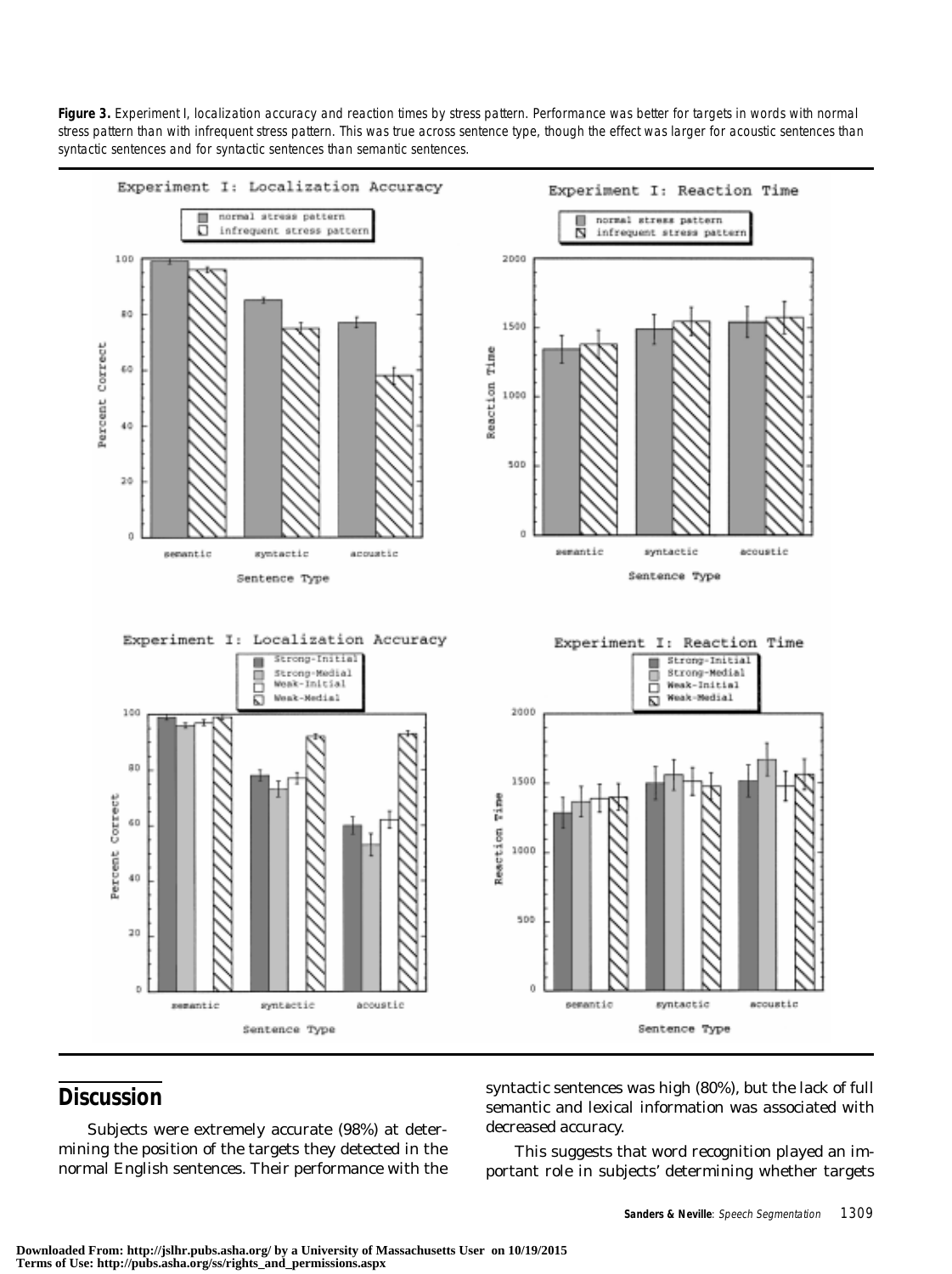**Figure 3.** Experiment I, localization accuracy and reaction times by stress pattern. Performance was better for targets in words with normal stress pattern than with infrequent stress pattern. This was true across sentence type, though the effect was larger for acoustic sentences than syntactic sentences and for syntactic sentences than semantic sentences.



# **Discussion**

Subjects were extremely accurate (98%) at determining the position of the targets they detected in the normal English sentences. Their performance with the syntactic sentences was high (80%), but the lack of full semantic and lexical information was associated with decreased accuracy.

This suggests that word recognition played an important role in subjects' determining whether targets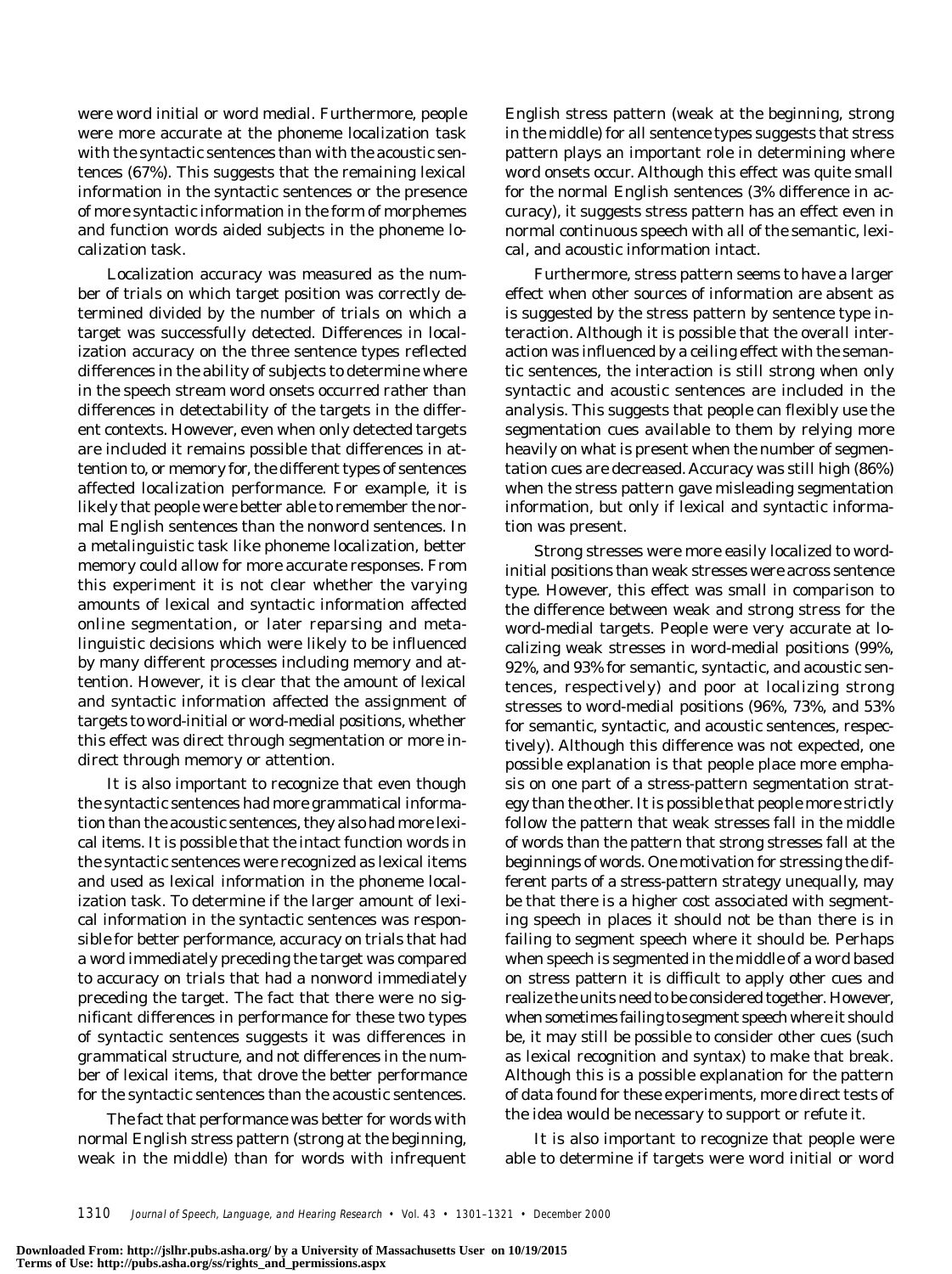were word initial or word medial. Furthermore, people were more accurate at the phoneme localization task with the syntactic sentences than with the acoustic sentences (67%). This suggests that the remaining lexical information in the syntactic sentences or the presence of more syntactic information in the form of morphemes and function words aided subjects in the phoneme localization task.

Localization accuracy was measured as the number of trials on which target position was correctly determined divided by the number of trials on which a target was successfully detected. Differences in localization accuracy on the three sentence types reflected differences in the ability of subjects to determine where in the speech stream word onsets occurred rather than differences in detectability of the targets in the different contexts. However, even when only detected targets are included it remains possible that differences in attention to, or memory for, the different types of sentences affected localization performance. For example, it is likely that people were better able to remember the normal English sentences than the nonword sentences. In a metalinguistic task like phoneme localization, better memory could allow for more accurate responses. From this experiment it is not clear whether the varying amounts of lexical and syntactic information affected online segmentation, or later reparsing and metalinguistic decisions which were likely to be influenced by many different processes including memory and attention. However, it is clear that the amount of lexical and syntactic information affected the assignment of targets to word-initial or word-medial positions, whether this effect was direct through segmentation or more indirect through memory or attention.

It is also important to recognize that even though the syntactic sentences had more grammatical information than the acoustic sentences, they also had more lexical items. It is possible that the intact function words in the syntactic sentences were recognized as lexical items and used as lexical information in the phoneme localization task. To determine if the larger amount of lexical information in the syntactic sentences was responsible for better performance, accuracy on trials that had a word immediately preceding the target was compared to accuracy on trials that had a nonword immediately preceding the target. The fact that there were no significant differences in performance for these two types of syntactic sentences suggests it was differences in grammatical structure, and not differences in the number of lexical items, that drove the better performance for the syntactic sentences than the acoustic sentences.

The fact that performance was better for words with normal English stress pattern (strong at the beginning, weak in the middle) than for words with infrequent English stress pattern (weak at the beginning, strong in the middle) for all sentence types suggests that stress pattern plays an important role in determining where word onsets occur. Although this effect was quite small for the normal English sentences (3% difference in accuracy), it suggests stress pattern has an effect even in normal continuous speech with all of the semantic, lexical, and acoustic information intact.

Furthermore, stress pattern seems to have a larger effect when other sources of information are absent as is suggested by the stress pattern by sentence type interaction. Although it is possible that the overall interaction was influenced by a ceiling effect with the semantic sentences, the interaction is still strong when only syntactic and acoustic sentences are included in the analysis. This suggests that people can flexibly use the segmentation cues available to them by relying more heavily on what is present when the number of segmentation cues are decreased. Accuracy was still high (86%) when the stress pattern gave misleading segmentation information, but only if lexical and syntactic information was present.

Strong stresses were more easily localized to wordinitial positions than weak stresses were across sentence type. However, this effect was small in comparison to the difference between weak and strong stress for the word-medial targets. People were very accurate at localizing weak stresses in word-medial positions (99%, 92%, and 93% for semantic, syntactic, and acoustic sentences, respectively) and poor at localizing strong stresses to word-medial positions (96%, 73%, and 53% for semantic, syntactic, and acoustic sentences, respectively). Although this difference was not expected, one possible explanation is that people place more emphasis on one part of a stress-pattern segmentation strategy than the other. It is possible that people more strictly follow the pattern that weak stresses fall in the middle of words than the pattern that strong stresses fall at the beginnings of words. One motivation for stressing the different parts of a stress-pattern strategy unequally, may be that there is a higher cost associated with segmenting speech in places it should not be than there is in failing to segment speech where it should be. Perhaps when speech is segmented in the middle of a word based on stress pattern it is difficult to apply other cues and realize the units need to be considered together. However, when sometimes failing to segment speech where it should be, it may still be possible to consider other cues (such as lexical recognition and syntax) to make that break. Although this is a possible explanation for the pattern of data found for these experiments, more direct tests of the idea would be necessary to support or refute it.

It is also important to recognize that people were able to determine if targets were word initial or word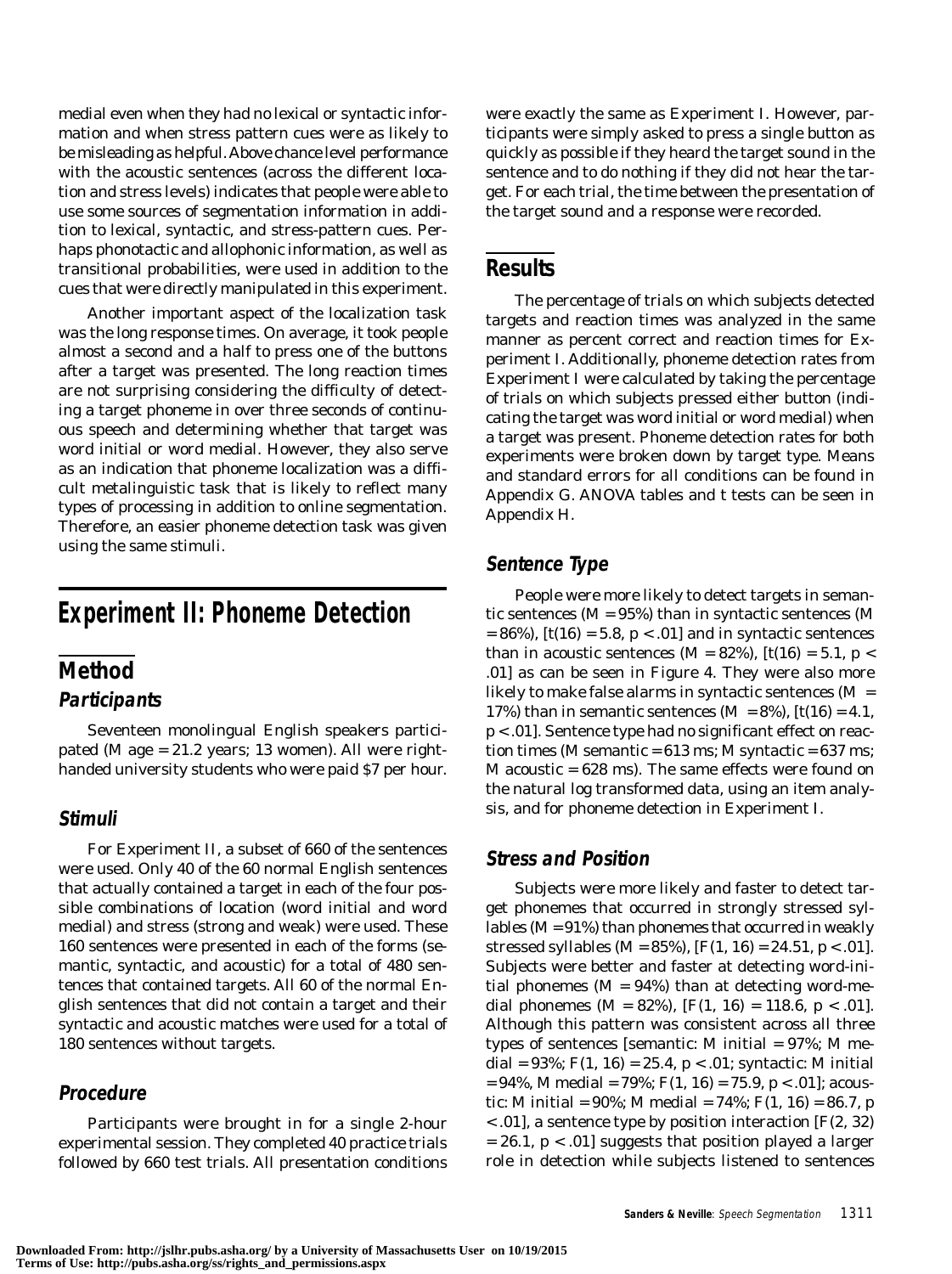medial even when they had no lexical or syntactic information and when stress pattern cues were as likely to be misleading as helpful. Above chance level performance with the acoustic sentences (across the different location and stress levels) indicates that people were able to use some sources of segmentation information in addition to lexical, syntactic, and stress-pattern cues. Perhaps phonotactic and allophonic information, as well as transitional probabilities, were used in addition to the cues that were directly manipulated in this experiment.

Another important aspect of the localization task was the long response times. On average, it took people almost a second and a half to press one of the buttons after a target was presented. The long reaction times are not surprising considering the difficulty of detecting a target phoneme in over three seconds of continuous speech and determining whether that target was word initial or word medial. However, they also serve as an indication that phoneme localization was a difficult metalinguistic task that is likely to reflect many types of processing in addition to online segmentation. Therefore, an easier phoneme detection task was given using the same stimuli.

# **Experiment II: Phoneme Detection**

# **Method Participants**

Seventeen monolingual English speakers participated (*M* age = 21.2 years; 13 women). All were righthanded university students who were paid \$7 per hour.

# **Stimuli**

For Experiment II, a subset of 660 of the sentences were used. Only 40 of the 60 normal English sentences that actually contained a target in each of the four possible combinations of location (word initial and word medial) and stress (strong and weak) were used. These 160 sentences were presented in each of the forms (semantic, syntactic, and acoustic) for a total of 480 sentences that contained targets. All 60 of the normal English sentences that did not contain a target and their syntactic and acoustic matches were used for a total of 180 sentences without targets.

# **Procedure**

Participants were brought in for a single 2-hour experimental session. They completed 40 practice trials followed by 660 test trials. All presentation conditions were exactly the same as Experiment I. However, participants were simply asked to press a single button as quickly as possible if they heard the target sound in the sentence and to do nothing if they did not hear the target. For each trial, the time between the presentation of the target sound and a response were recorded.

# **Results**

The percentage of trials on which subjects detected targets and reaction times was analyzed in the same manner as percent correct and reaction times for Experiment I. Additionally, phoneme detection rates from Experiment I were calculated by taking the percentage of trials on which subjects pressed either button (indicating the target was word initial *or* word medial) when a target was present. Phoneme detection rates for both experiments were broken down by target type. Means and standard errors for all conditions can be found in Appendix G. ANOVA tables and *t* tests can be seen in Appendix H.

# **Sentence Type**

People were more likely to detect targets in semantic sentences (*M* = 95%) than in syntactic sentences (*M*  $= 86\%$ ),  $[t(16) = 5.8, p < .01]$  and in syntactic sentences than in acoustic sentences ( $M = 82\%$ ), [ $t(16) = 5.1$ ,  $p <$ .01] as can be seen in Figure 4. They were also more likely to make false alarms in syntactic sentences (*M* = 17%) than in semantic sentences  $(M = 8\%)$ ,  $[t(16) = 4.1,$ *p* < .01]. Sentence type had no significant effect on reaction times (*M* semantic =  $613$  ms; *M* syntactic =  $637$  ms; *M* acoustic = 628 ms). The same effects were found on the natural log transformed data, using an item analysis, and for phoneme detection in Experiment I.

#### **Stress and Position**

Subjects were more likely and faster to detect target phonemes that occurred in strongly stressed syllables (*M* = 91%) than phonemes that occurred in weakly stressed syllables (*M* = 85%), [*F*(1, 16) = 24.51, *p* < .01]. Subjects were better and faster at detecting word-initial phonemes  $(M = 94\%)$  than at detecting word-medial phonemes  $(M = 82\%)$ ,  $[F(1, 16) = 118.6, p < .01]$ . Although this pattern was consistent across all three types of sentences [semantic: *M* initial = 97%; *M* medial = 93%; *F*(1, 16) = 25.4, *p* < .01; syntactic: *M* initial = 94%, *M* medial = 79%; *F*(1, 16) = 75.9, *p* < .01]; acoustic: *M* initial = 90%; *M* medial = 74%;  $F(1, 16) = 86.7$ , *p* < .01], a sentence type by position interaction [*F*(2, 32) = 26.1, *p* < .01] suggests that position played a larger role in detection while subjects listened to sentences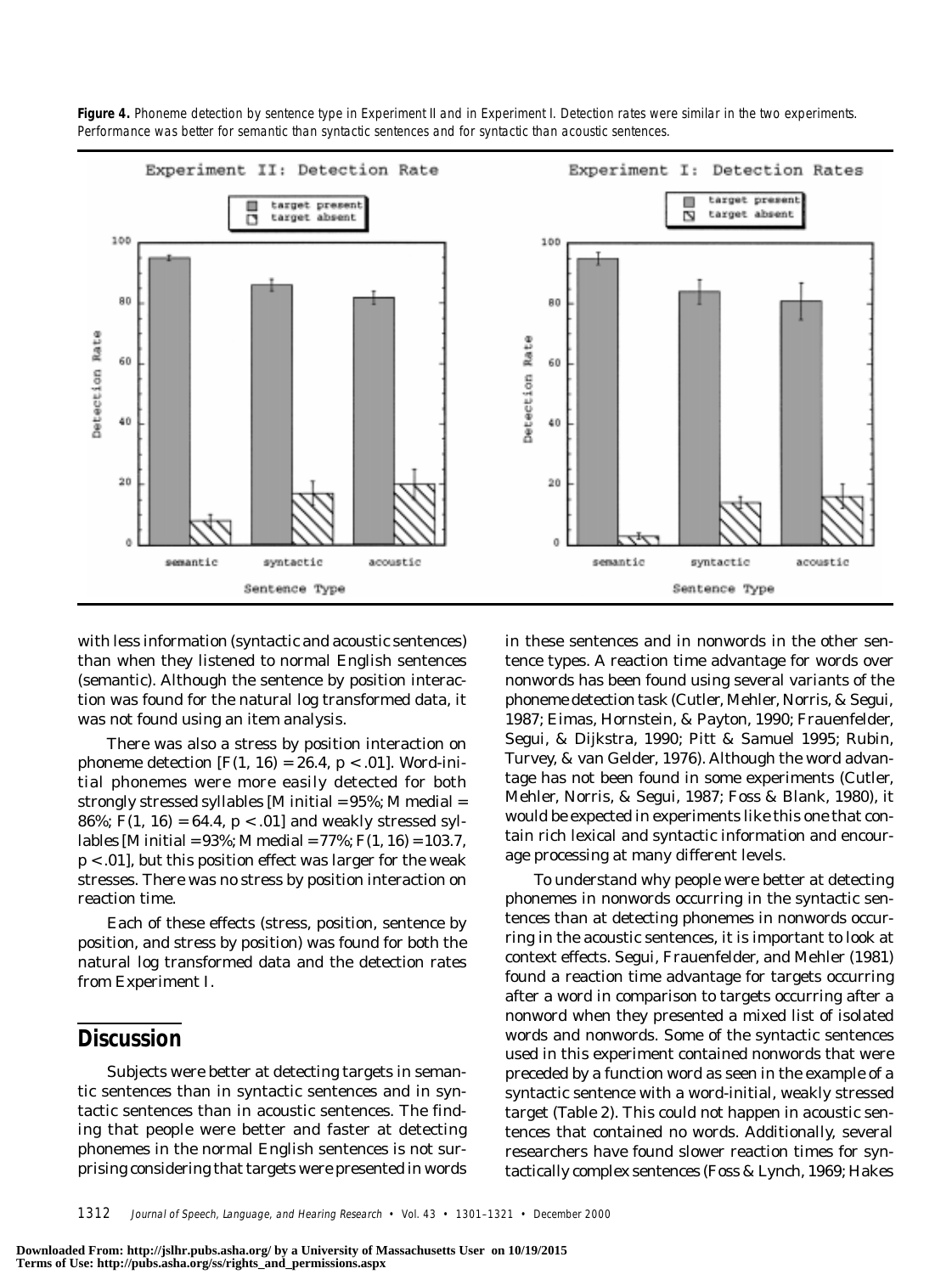

Figure 4. Phoneme detection by sentence type in Experiment II and in Experiment I. Detection rates were similar in the two experiments. Performance was better for semantic than syntactic sentences and for syntactic than acoustic sentences.

with less information (syntactic and acoustic sentences) than when they listened to normal English sentences (semantic). Although the sentence by position interaction was found for the natural log transformed data, it was not found using an item analysis.

There was also a stress by position interaction on phoneme detection  $[F(1, 16) = 26.4, p < .01]$ . Word-initial phonemes were more easily detected for both strongly stressed syllables [*M* initial = 95%; *M* medial = 86%; *F*(1, 16) = 64.4, *p* < .01] and weakly stressed syllables [*M* initial = 93%; *M* medial = 77%; *F*(1, 16) = 103.7, *p* < .01], but this position effect was larger for the weak stresses. There was no stress by position interaction on reaction time.

Each of these effects (stress, position, sentence by position, and stress by position) was found for both the natural log transformed data and the detection rates from Experiment I.

# **Discussion**

Subjects were better at detecting targets in semantic sentences than in syntactic sentences and in syntactic sentences than in acoustic sentences. The finding that people were better and faster at detecting phonemes in the normal English sentences is not surprising considering that targets were presented in words

in these sentences and in nonwords in the other sentence types. A reaction time advantage for words over nonwords has been found using several variants of the phoneme detection task (Cutler, Mehler, Norris, & Segui, 1987; Eimas, Hornstein, & Payton, 1990; Frauenfelder, Segui, & Dijkstra, 1990; Pitt & Samuel 1995; Rubin, Turvey, & van Gelder, 1976). Although the word advantage has not been found in some experiments (Cutler, Mehler, Norris, & Segui, 1987; Foss & Blank, 1980), it would be expected in experiments like this one that contain rich lexical and syntactic information and encourage processing at many different levels.

To understand why people were better at detecting phonemes in nonwords occurring in the syntactic sentences than at detecting phonemes in nonwords occurring in the acoustic sentences, it is important to look at context effects. Segui, Frauenfelder, and Mehler (1981) found a reaction time advantage for targets occurring after a word in comparison to targets occurring after a nonword when they presented a mixed list of isolated words and nonwords. Some of the syntactic sentences used in this experiment contained nonwords that were preceded by a function word as seen in the example of a syntactic sentence with a word-initial, weakly stressed target (Table 2). This could not happen in acoustic sentences that contained no words. Additionally, several researchers have found slower reaction times for syntactically complex sentences (Foss & Lynch, 1969; Hakes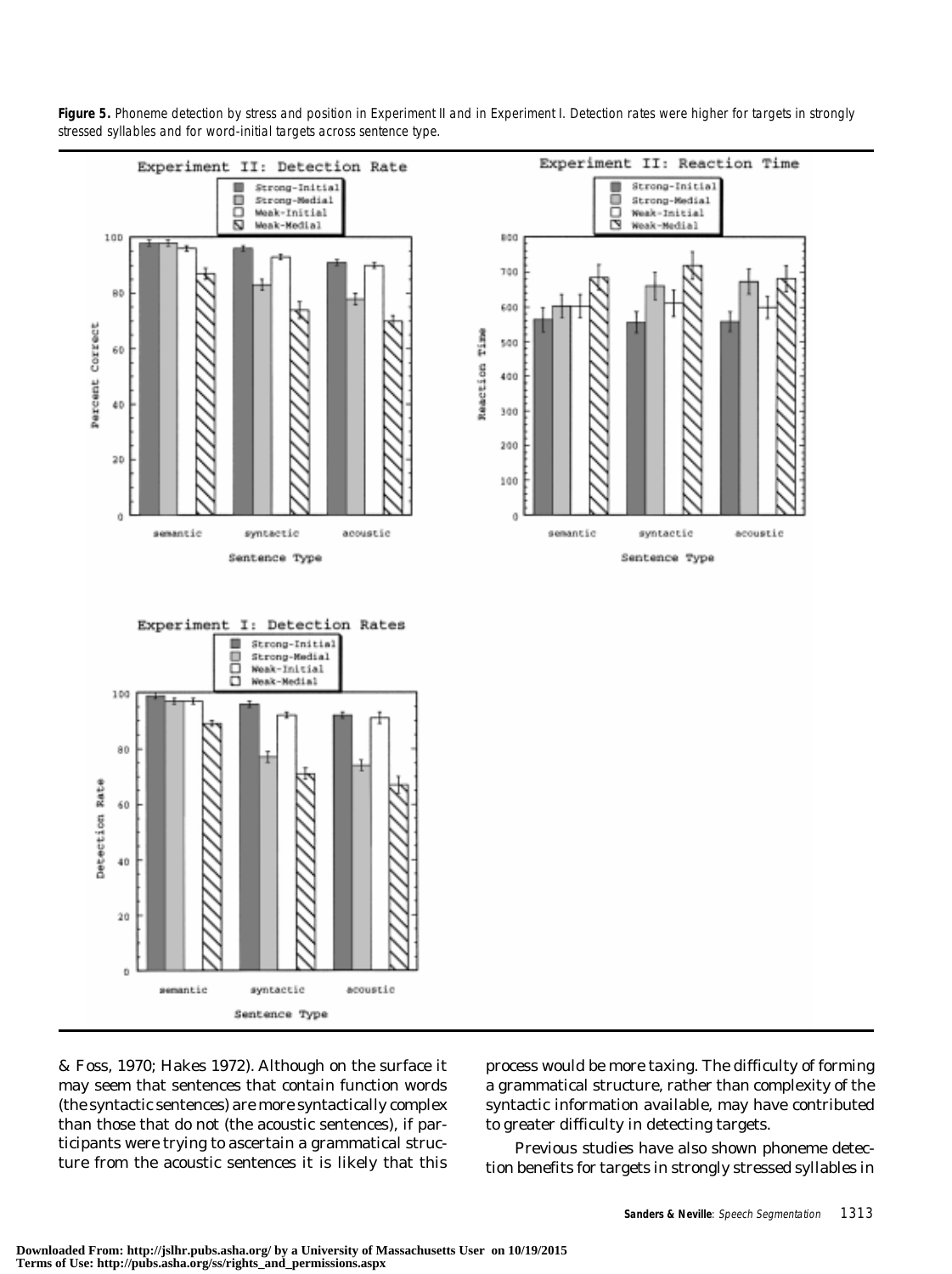

Figure 5. Phoneme detection by stress and position in Experiment II and in Experiment I. Detection rates were higher for targets in strongly stressed syllables and for word-initial targets across sentence type.

& Foss, 1970; Hakes 1972). Although on the surface it may seem that sentences that contain function words (the syntactic sentences) are more syntactically complex than those that do not (the acoustic sentences), if participants were trying to ascertain a grammatical structure from the acoustic sentences it is likely that this

process would be more taxing. The difficulty of forming a grammatical structure, rather than complexity of the syntactic information available, may have contributed to greater difficulty in detecting targets.

Previous studies have also shown phoneme detection benefits for targets in strongly stressed syllables in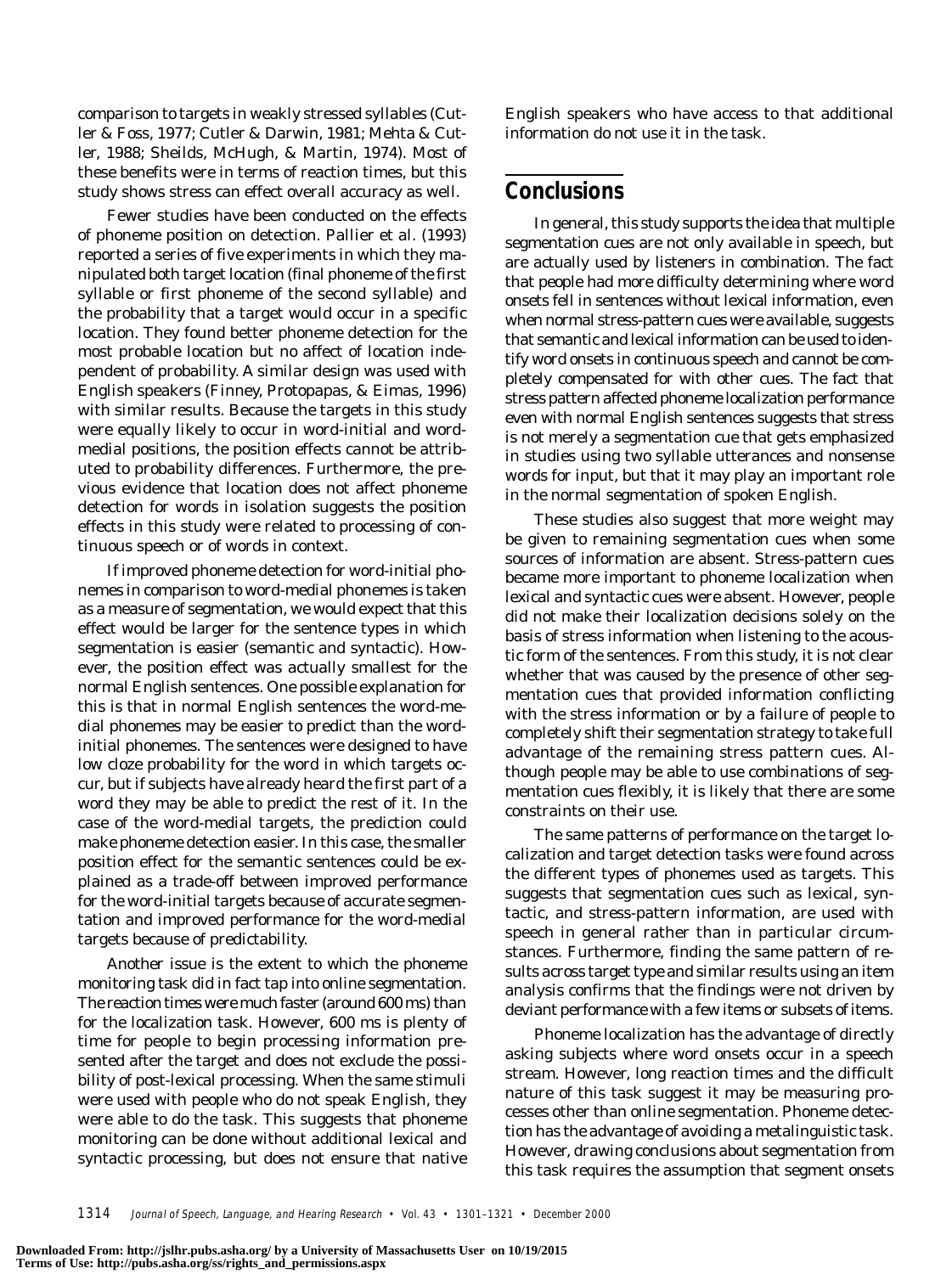comparison to targets in weakly stressed syllables (Cutler & Foss, 1977; Cutler & Darwin, 1981; Mehta & Cutler, 1988; Sheilds, McHugh, & Martin, 1974). Most of these benefits were in terms of reaction times, but this study shows stress can effect overall accuracy as well.

Fewer studies have been conducted on the effects of phoneme position on detection. Pallier et al. (1993) reported a series of five experiments in which they manipulated both target location (final phoneme of the first syllable or first phoneme of the second syllable) and the probability that a target would occur in a specific location. They found better phoneme detection for the most probable location but no affect of location independent of probability. A similar design was used with English speakers (Finney, Protopapas, & Eimas, 1996) with similar results. Because the targets in this study were equally likely to occur in word-initial and wordmedial positions, the position effects cannot be attributed to probability differences. Furthermore, the previous evidence that location does not affect phoneme detection for words in isolation suggests the position effects in this study were related to processing of continuous speech or of words in context.

If improved phoneme detection for word-initial phonemes in comparison to word-medial phonemes is taken as a measure of segmentation, we would expect that this effect would be larger for the sentence types in which segmentation is easier (semantic and syntactic). However, the position effect was actually smallest for the normal English sentences. One possible explanation for this is that in normal English sentences the word-medial phonemes may be easier to predict than the wordinitial phonemes. The sentences were designed to have low cloze probability for the word in which targets occur, but if subjects have already heard the first part of a word they may be able to predict the rest of it. In the case of the word-medial targets, the prediction could make phoneme detection easier. In this case, the smaller position effect for the semantic sentences could be explained as a trade-off between improved performance for the word-initial targets because of accurate segmentation and improved performance for the word-medial targets because of predictability.

Another issue is the extent to which the phoneme monitoring task did in fact tap into online segmentation. The reaction times were much faster (around 600 ms) than for the localization task. However, 600 ms is plenty of time for people to begin processing information presented after the target and does not exclude the possibility of post-lexical processing. When the same stimuli were used with people who do not speak English, they were able to do the task. This suggests that phoneme monitoring can be done without additional lexical and syntactic processing, but does not ensure that native

English speakers who have access to that additional information do not use it in the task.

# **Conclusions**

In general, this study supports the idea that multiple segmentation cues are not only available in speech, but are actually used by listeners in combination. The fact that people had more difficulty determining where word onsets fell in sentences without lexical information, even when normal stress-pattern cues were available, suggests that semantic and lexical information can be used to identify word onsets in continuous speech and cannot be completely compensated for with other cues. The fact that stress pattern affected phoneme localization performance even with normal English sentences suggests that stress is not merely a segmentation cue that gets emphasized in studies using two syllable utterances and nonsense words for input, but that it may play an important role in the normal segmentation of spoken English.

These studies also suggest that more weight may be given to remaining segmentation cues when some sources of information are absent. Stress-pattern cues became more important to phoneme localization when lexical and syntactic cues were absent. However, people did not make their localization decisions solely on the basis of stress information when listening to the acoustic form of the sentences. From this study, it is not clear whether that was caused by the presence of other segmentation cues that provided information conflicting with the stress information or by a failure of people to completely shift their segmentation strategy to take full advantage of the remaining stress pattern cues. Although people may be able to use combinations of segmentation cues flexibly, it is likely that there are some constraints on their use.

The same patterns of performance on the target localization and target detection tasks were found across the different types of phonemes used as targets. This suggests that segmentation cues such as lexical, syntactic, and stress-pattern information, are used with speech in general rather than in particular circumstances. Furthermore, finding the same pattern of results across target type and similar results using an item analysis confirms that the findings were not driven by deviant performance with a few items or subsets of items.

Phoneme localization has the advantage of directly asking subjects where word onsets occur in a speech stream. However, long reaction times and the difficult nature of this task suggest it may be measuring processes other than online segmentation. Phoneme detection has the advantage of avoiding a metalinguistic task. However, drawing conclusions about segmentation from this task requires the assumption that segment onsets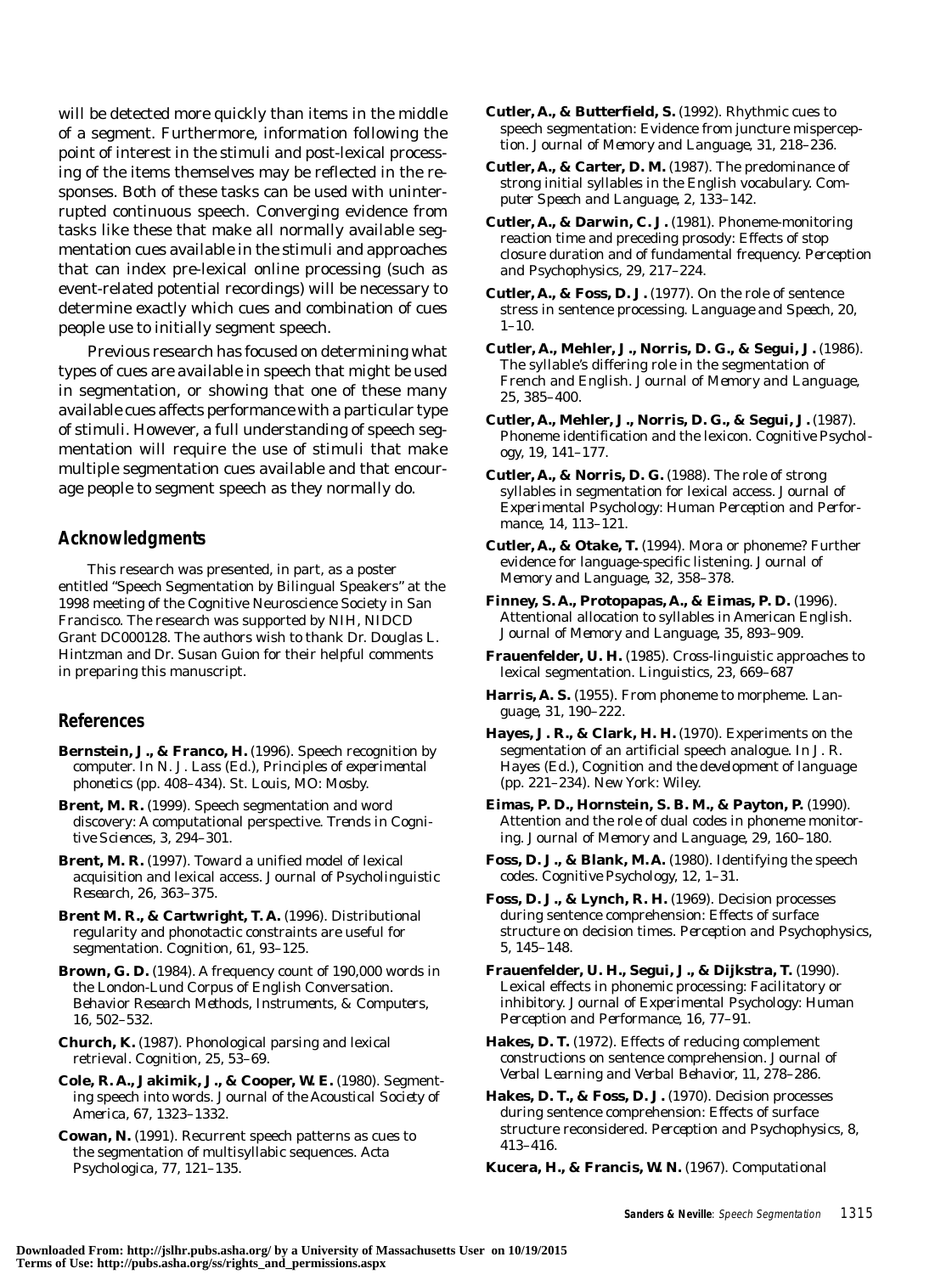will be detected more quickly than items in the middle of a segment. Furthermore, information following the point of interest in the stimuli and post-lexical processing of the items themselves may be reflected in the responses. Both of these tasks can be used with uninterrupted continuous speech. Converging evidence from tasks like these that make all normally available segmentation cues available in the stimuli and approaches that can index pre-lexical online processing (such as event-related potential recordings) will be necessary to determine exactly which cues and combination of cues people use to initially segment speech.

Previous research has focused on determining what types of cues are available in speech that might be used in segmentation, or showing that one of these many available cues affects performance with a particular type of stimuli. However, a full understanding of speech segmentation will require the use of stimuli that make multiple segmentation cues available and that encourage people to segment speech as they normally do.

#### **Acknowledgments**

This research was presented, in part, as a poster entitled "Speech Segmentation by Bilingual Speakers" at the 1998 meeting of the Cognitive Neuroscience Society in San Francisco. The research was supported by NIH, NIDCD Grant DC000128. The authors wish to thank Dr. Douglas L. Hintzman and Dr. Susan Guion for their helpful comments in preparing this manuscript.

#### **References**

- **Bernstein, J., & Franco, H.** (1996). Speech recognition by computer. In N. J. Lass (Ed.), *Principles of experimental phonetics* (pp. 408–434). St. Louis, MO: Mosby.
- **Brent, M. R.** (1999). Speech segmentation and word discovery: A computational perspective. *Trends in Cognitive Sciences, 3,* 294–301.
- **Brent, M. R.** (1997). Toward a unified model of lexical acquisition and lexical access. *Journal of Psycholinguistic Research, 26,* 363–375.
- **Brent M. R., & Cartwright, T. A.** (1996). Distributional regularity and phonotactic constraints are useful for segmentation. *Cognition, 61,* 93–125.
- **Brown, G. D.** (1984). A frequency count of 190,000 words in the London-Lund Corpus of English Conversation. *Behavior Research Methods, Instruments, & Computers, 16,* 502–532.
- **Church, K.** (1987). Phonological parsing and lexical retrieval. *Cognition, 25,* 53–69.
- **Cole, R. A., Jakimik, J., & Cooper, W. E.** (1980). Segmenting speech into words*. Journal of the Acoustical Society of America, 67,* 1323–1332.
- **Cowan, N.** (1991). Recurrent speech patterns as cues to the segmentation of multisyllabic sequences*. Acta Psychologica, 77,* 121–135.
- **Cutler, A., & Butterfield, S.** (1992). Rhythmic cues to speech segmentation: Evidence from juncture misperception. *Journal of Memory and Language, 31,* 218–236.
- **Cutler, A., & Carter, D. M.** (1987). The predominance of strong initial syllables in the English vocabulary. *Computer Speech and Language, 2,* 133–142.
- **Cutler, A., & Darwin, C. J.** (1981). Phoneme-monitoring reaction time and preceding prosody: Effects of stop closure duration and of fundamental frequency. *Perception and Psychophysics, 29,* 217–224.
- **Cutler, A., & Foss, D. J.** (1977). On the role of sentence stress in sentence processing. *Language and Speech, 20,*  $1 - 10$ .
- **Cutler, A., Mehler, J., Norris, D. G., & Segui, J.** (1986). The syllable's differing role in the segmentation of French and English. *Journal of Memory and Language, 25,* 385–400.
- **Cutler, A., Mehler, J., Norris, D. G., & Segui, J.** (1987). Phoneme identification and the lexicon. *Cognitive Psychology, 19,* 141–177.
- **Cutler, A., & Norris, D. G.** (1988). The role of strong syllables in segmentation for lexical access. *Journal of Experimental Psychology: Human Perception and Performance, 14,* 113–121.
- **Cutler, A., & Otake, T.** (1994). Mora or phoneme? Further evidence for language-specific listening. *Journal of Memory and Language, 32,* 358–378.
- **Finney, S. A., Protopapas, A., & Eimas, P. D.** (1996). Attentional allocation to syllables in American English. *Journal of Memory and Language, 35,* 893–909.
- **Frauenfelder, U. H.** (1985). Cross-linguistic approaches to lexical segmentation. *Linguistics, 23,* 669–687
- **Harris, A. S.** (1955). From phoneme to morpheme. *Language, 31,* 190–222.
- **Hayes, J. R., & Clark, H. H.** (1970). Experiments on the segmentation of an artificial speech analogue. In J. R. Hayes (Ed.), *Cognition and the development of language* (pp. 221–234). New York: Wiley.
- **Eimas, P. D., Hornstein, S. B. M., & Payton, P.** (1990). Attention and the role of dual codes in phoneme monitoring. *Journal of Memory and Language, 29,* 160–180.
- **Foss, D. J., & Blank, M. A.** (1980). Identifying the speech codes. *Cognitive Psychology, 12,* 1–31.
- **Foss, D. J., & Lynch, R. H.** (1969). Decision processes during sentence comprehension: Effects of surface structure on decision times. *Perception and Psychophysics, 5,* 145–148.
- **Frauenfelder, U. H., Segui, J., & Dijkstra, T.** (1990). Lexical effects in phonemic processing: Facilitatory or inhibitory. *Journal of Experimental Psychology: Human Perception and Performance, 16,* 77–91.
- **Hakes, D. T.** (1972). Effects of reducing complement constructions on sentence comprehension. *Journal of Verbal Learning and Verbal Behavior, 11,* 278–286.
- **Hakes, D. T., & Foss, D. J.** (1970). Decision processes during sentence comprehension: Effects of surface structure reconsidered. *Perception and Psychophysics, 8,* 413–416.
- **Kucera, H., & Francis, W. N.** (1967). *Computational*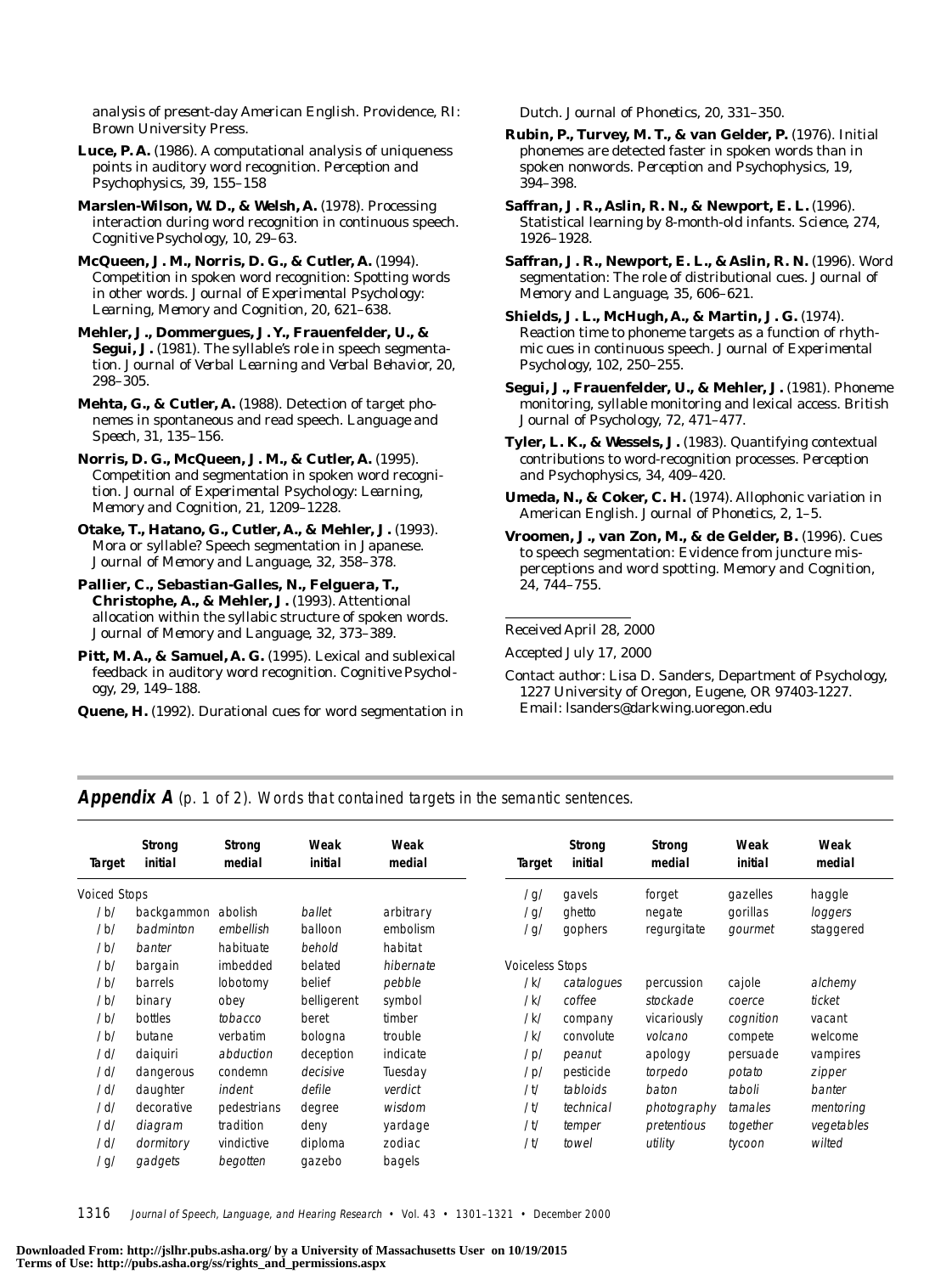*analysis of present-day American English.* Providence, RI: Brown University Press.

**Luce, P. A.** (1986). A computational analysis of uniqueness points in auditory word recognition. *Perception and Psychophysics, 39,* 155–158

**Marslen-Wilson, W. D., & Welsh, A.** (1978). Processing interaction during word recognition in continuous speech*. Cognitive Psychology, 10,* 29–63.

**McQueen, J. M., Norris, D. G., & Cutler, A.** (1994). Competition in spoken word recognition: Spotting words in other words. *Journal of Experimental Psychology: Learning, Memory and Cognition, 20,* 621–638.

**Mehler, J., Dommergues, J. Y., Frauenfelder, U., &** Segui, J. (1981). The syllable's role in speech segmentation. *Journal of Verbal Learning and Verbal Behavior, 20,* 298–305.

**Mehta, G., & Cutler, A.** (1988). Detection of target phonemes in spontaneous and read speech. *Language and Speech, 31,* 135–156.

**Norris, D. G., McQueen, J. M., & Cutler, A.** (1995). Competition and segmentation in spoken word recognition. *Journal of Experimental Psychology: Learning, Memory and Cognition, 21,* 1209–1228.

**Otake, T., Hatano, G., Cutler, A., & Mehler, J.** (1993). Mora or syllable? Speech segmentation in Japanese. *Journal of Memory and Language, 32,* 358–378.

**Pallier, C., Sebastian-Galles, N., Felguera, T., Christophe, A., & Mehler, J.** (1993). Attentional allocation within the syllabic structure of spoken words. *Journal of Memory and Language, 32,* 373–389.

**Pitt, M. A., & Samuel, A. G.** (1995). Lexical and sublexical feedback in auditory word recognition. *Cognitive Psychology, 29,* 149–188.

**Quene, H.** (1992). Durational cues for word segmentation in

Dutch. *Journal of Phonetics, 20,* 331–350.

**Rubin, P., Turvey, M. T., & van Gelder, P.** (1976). Initial phonemes are detected faster in spoken words than in spoken nonwords. *Perception and Psychophysics, 19,* 394–398.

**Saffran, J. R., Aslin, R. N., & Newport, E. L.** (1996). Statistical learning by 8-month-old infants. *Science, 274,* 1926–1928.

**Saffran, J. R., Newport, E. L., & Aslin, R. N.** (1996). Word segmentation: The role of distributional cues. *Journal of Memory and Language, 35,* 606–621.

**Shields, J. L., McHugh, A., & Martin, J. G.** (1974). Reaction time to phoneme targets as a function of rhythmic cues in continuous speech. *Journal of Experimental Psychology, 102,* 250–255.

- **Segui, J., Frauenfelder, U., & Mehler, J.** (1981). Phoneme monitoring, syllable monitoring and lexical access. *British Journal of Psychology, 72,* 471–477.
- **Tyler, L. K., & Wessels, J.** (1983). Quantifying contextual contributions to word-recognition processes. *Perception and Psychophysics, 34,* 409–420.

**Umeda, N., & Coker, C. H.** (1974). Allophonic variation in American English. *Journal of Phonetics, 2,* 1–5.

**Vroomen, J., van Zon, M., & de Gelder, B.** (1996). Cues to speech segmentation: Evidence from juncture misperceptions and word spotting. *Memory and Cognition, 24,* 744–755.

Received April 28, 2000

Accepted July 17, 2000

Contact author: Lisa D. Sanders, Department of Psychology, 1227 University of Oregon, Eugene, OR 97403-1227. Email: lsanders@darkwing.uoregon.edu

**Appendix A** (p. 1 of 2). Words that contained targets in the semantic sentences.

| Target              | Strong<br>initial | Strong<br>medial | Weak<br>initial | Weak<br>medial | Target                 | Strong<br>initial | Strong<br>medial | Weak<br>initial | Weak<br>medial |
|---------------------|-------------------|------------------|-----------------|----------------|------------------------|-------------------|------------------|-----------------|----------------|
| <b>Voiced Stops</b> |                   |                  |                 |                | /g/                    | gavels            | forget           | gazelles        | haggle         |
| /b/                 | backgammon        | abolish          | ballet          | arbitrary      | /g/                    | ghetto            | negate           | gorillas        | loggers        |
| /b/                 | badminton         | embellish        | balloon         | embolism       | /g/                    | gophers           | regurgitate      | gourmet         | staggered      |
| /b/                 | banter            | habituate        | behold          | habitat        |                        |                   |                  |                 |                |
| /b/                 | bargain           | imbedded         | belated         | hibernate      | <b>Voiceless Stops</b> |                   |                  |                 |                |
| /b/                 | barrels           | lobotomy         | belief          | pebble         | /k/                    | catalogues        | percussion       | cajole          | alchemy        |
| /b/                 | binary            | obey             | belligerent     | symbol         | $/$ k/                 | coffee            | stockade         | coerce          | ticket         |
| /b/                 | bottles           | tobacco          | beret           | timber         | /k/                    | company           | vicariously      | cognition       | vacant         |
| /b/                 | butane            | verbatim         | bologna         | trouble        | /k/                    | convolute         | volcano          | compete         | welcome        |
| /d/                 | daiquiri          | abduction        | deception       | indicate       | /p/                    | peanut            | apology          | persuade        | vampires       |
| /d/                 | dangerous         | condemn          | decisive        | Tuesday        | /p/                    | pesticide         | torpedo          | potato          | zipper         |
| /d/                 | daughter          | indent           | defile          | verdict        | /t/                    | tabloids          | baton            | taboli          | banter         |
| /d/                 | decorative        | pedestrians      | degree          | wisdom         | /t/                    | technical         | photography      | tamales         | mentoring      |
| /d/                 | diagram           | tradition        | deny            | yardage        | /t/                    | temper            | pretentious      | together        | vegetables     |
| /d/                 | dormitory         | vindictive       | diploma         | zodiac         | /t/                    | towel             | utility          | tycoon          | wilted         |
| /g/                 | gadgets           | begotten         | gazebo          | bagels         |                        |                   |                  |                 |                |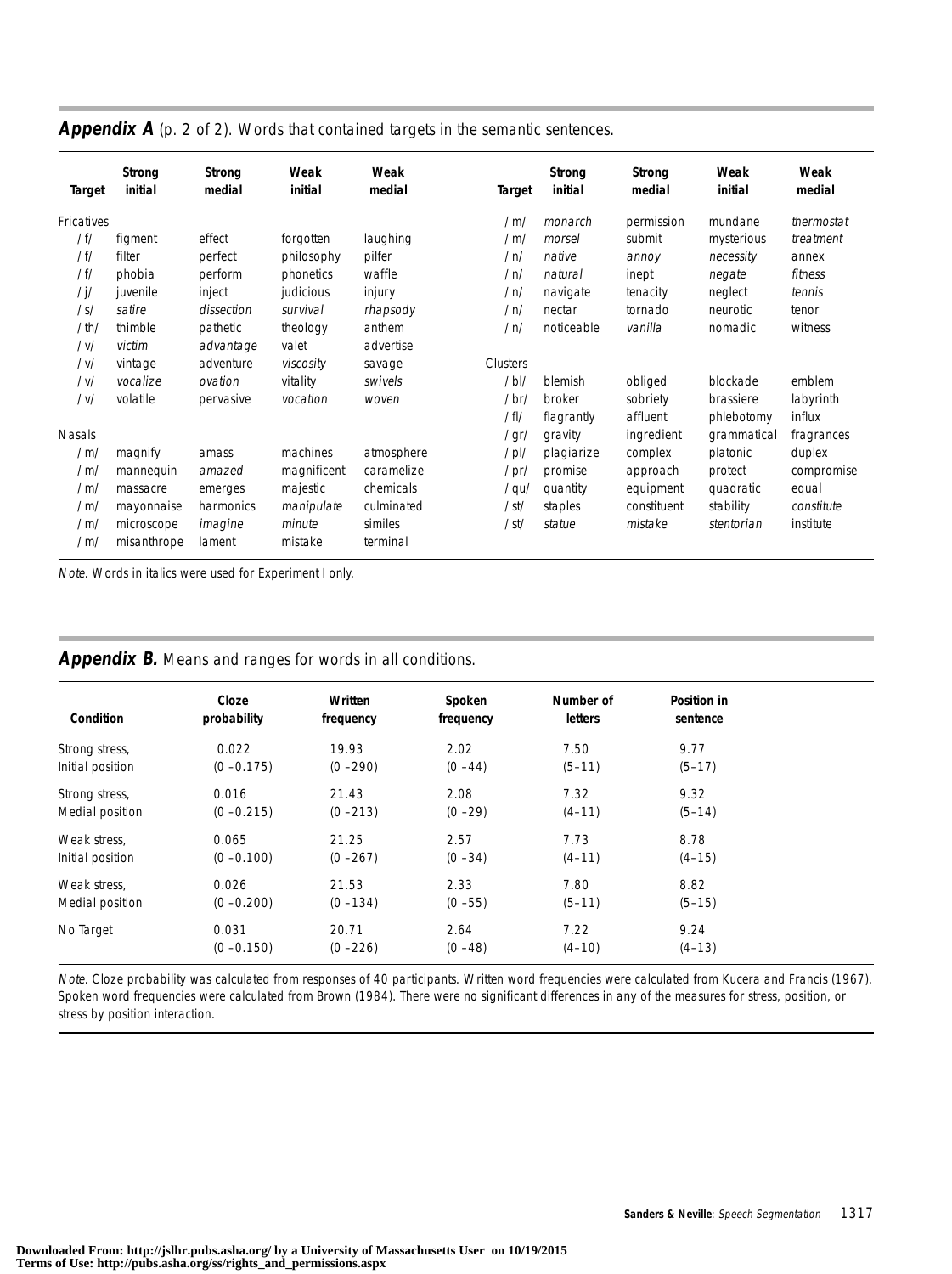Appendix A (p. 2 of 2). Words that contained targets in the semantic sentences.

| Target            | Strong<br>initial | Strong<br>medial | Weak<br>initial | Weak<br>medial | Target             | Strong<br>initial | Strong<br>medial | Weak<br>initial | Weak<br>medial |
|-------------------|-------------------|------------------|-----------------|----------------|--------------------|-------------------|------------------|-----------------|----------------|
| <b>Fricatives</b> |                   |                  |                 |                | /m/                | monarch           | permission       | mundane         | thermostat     |
| /f/               | figment           | effect           | forgotten       | laughing       | /m/                | morsel            | submit           | mysterious      | treatment      |
| /f/               | filter            | perfect          | philosophy      | pilfer         | /n/                | native            | annoy            | necessity       | annex          |
| /f/               | phobia            | perform          | phonetics       | waffle         | /n/                | natural           | inept            | negate          | fitness        |
| $/$ j $/$         | juvenile          | inject           | judicious       | injury         | /n/                | navigate          | tenacity         | neglect         | tennis         |
| /s/               | satire            | dissection       | survival        | rhapsody       | /n/                | nectar            | tornado          | neurotic        | tenor          |
| $/\text{th}$      | thimble           | pathetic         | theology        | anthem         | /n/                | noticeable        | vanilla          | nomadic         | witness        |
| $/\nu/$           | victim            | advantage        | valet           | advertise      |                    |                   |                  |                 |                |
| $/\nu/$           | vintage           | adventure        | viscosity       | savage         | Clusters           |                   |                  |                 |                |
| $/\nu/$           | vocalize          | ovation          | vitality        | swivels        | /bl/               | blemish           | obliged          | blockade        | emblem         |
| $/\nu/$           | volatile          | pervasive        | vocation        | woven          | /br/               | broker            | sobriety         | brassiere       | labyrinth      |
|                   |                   |                  |                 |                | $/$ fl $/$         | flagrantly        | affluent         | phlebotomy      | influx         |
| <b>Nasals</b>     |                   |                  |                 |                | $\sqrt{gr/}$       | gravity           | ingredient       | grammatical     | fragrances     |
| /m/               | magnify           | amass            | machines        | atmosphere     | $/$ pl/            | plagiarize        | complex          | platonic        | duplex         |
| /m/               | mannequin         | amazed           | magnificent     | caramelize     | /pr/               | promise           | approach         | protect         | compromise     |
| /m/               | massacre          | emerges          | majestic        | chemicals      | /qu/               | quantity          | equipment        | quadratic       | equal          |
| /m/               | mayonnaise        | harmonics        | manipulate      | culminated     | $\sqrt{\text{st}}$ | staples           | constituent      | stability       | constitute     |
| /m/               | microscope        | imagine          | minute          | similes        | $\sqrt{\text{st}}$ | statue            | mistake          | stentorian      | institute      |
| /m/               | misanthrope       | lament           | mistake         | terminal       |                    |                   |                  |                 |                |

Note. Words in italics were used for Experiment I only.

#### **Appendix B.** Means and ranges for words in all conditions.

| Condition        | Cloze<br>probability | Written<br>frequency | Spoken<br>frequency | Number of<br><b>letters</b> | Position in<br>sentence |  |
|------------------|----------------------|----------------------|---------------------|-----------------------------|-------------------------|--|
| Strong stress,   | 0.022                | 19.93                | 2.02                | 7.50                        | 9.77                    |  |
| Initial position | $(0 - 0.175)$        | $(0 - 290)$          | $(0 - 44)$          | $(5-11)$                    | $(5-17)$                |  |
| Strong stress,   | 0.016                | 21.43                | 2.08                | 7.32                        | 9.32                    |  |
| Medial position  | $(0 - 0.215)$        | $(0 - 213)$          | $(0 - 29)$          | $(4-11)$                    | $(5-14)$                |  |
| Weak stress,     | 0.065                | 21.25                | 2.57                | 7.73                        | 8.78                    |  |
| Initial position | $(0 - 0.100)$        | $(0 - 267)$          | $(0 - 34)$          | $(4-11)$                    | $(4-15)$                |  |
| Weak stress.     | 0.026                | 21.53                | 2.33                | 7.80                        | 8.82                    |  |
| Medial position  | $(0 - 0.200)$        | $(0 - 134)$          | $(0 - 55)$          | $(5-11)$                    | $(5-15)$                |  |
| No Target        | 0.031                | 20.71                | 2.64                | 7.22                        | 9.24                    |  |
|                  | $(0 - 0.150)$        | $(0 - 226)$          | $(0 - 48)$          | $(4 - 10)$                  | $(4-13)$                |  |

Note. Cloze probability was calculated from responses of 40 participants. Written word frequencies were calculated from Kucera and Francis (1967). Spoken word frequencies were calculated from Brown (1984). There were no significant differences in any of the measures for stress, position, or stress by position interaction.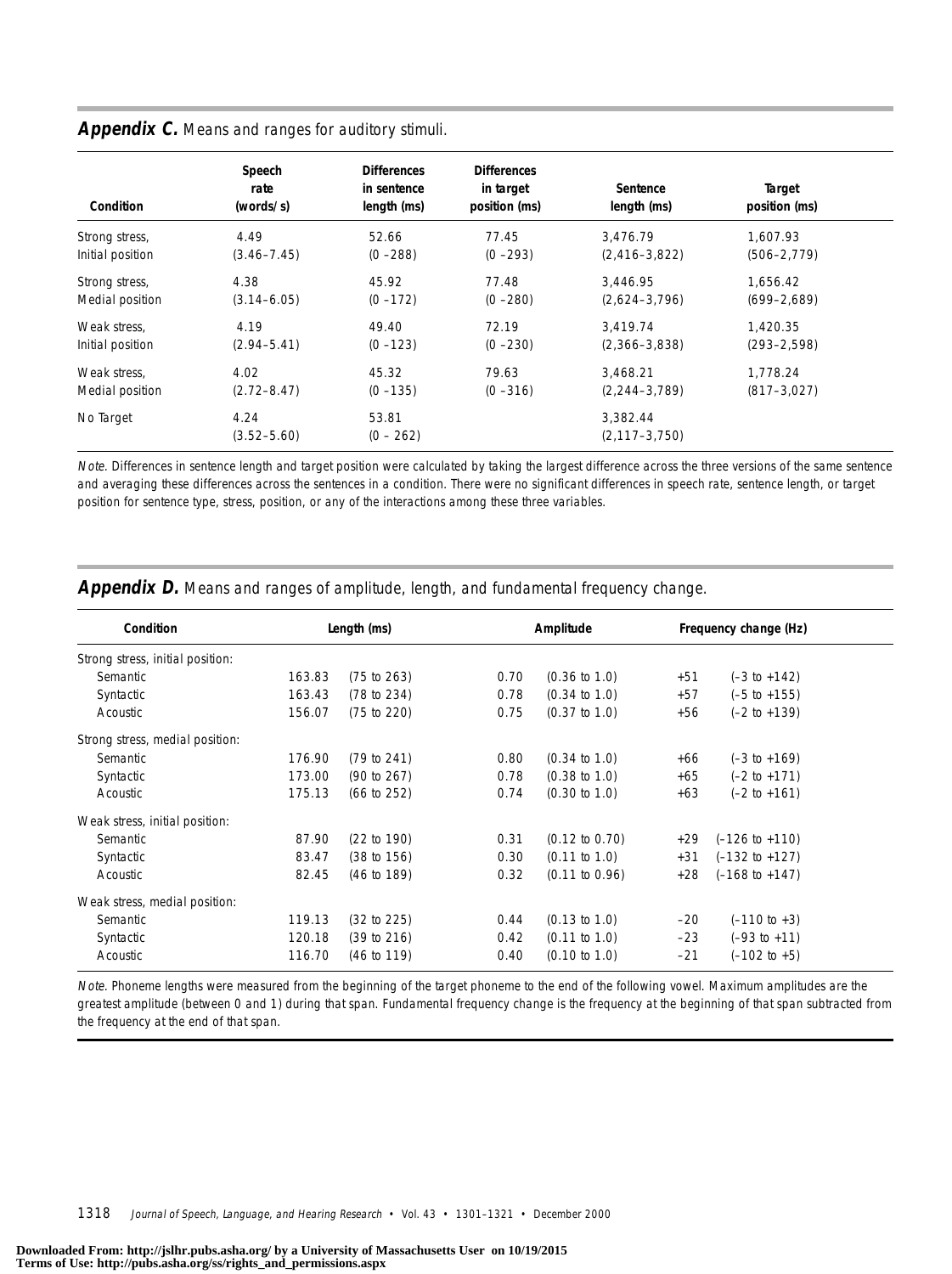| Appendix C. Means and ranges for auditory stimuli. |  |  |  |  |  |  |  |
|----------------------------------------------------|--|--|--|--|--|--|--|
|----------------------------------------------------|--|--|--|--|--|--|--|

| <b>Condition</b> | Speech<br>rate<br>(words/s) | <b>Differences</b><br>in sentence<br>length (ms) | <b>Differences</b><br>in target<br>position (ms) | Sentence<br>length (ms)         | Target<br>position (ms) |
|------------------|-----------------------------|--------------------------------------------------|--------------------------------------------------|---------------------------------|-------------------------|
| Strong stress,   | 4.49                        | 52.66                                            | 77.45                                            | 3.476.79                        | 1.607.93                |
| Initial position | $(3.46 - 7.45)$             | $(0 - 288)$                                      | $(0 - 293)$                                      | $(2,416-3,822)$                 | $(506 - 2, 779)$        |
| Strong stress,   | 4.38                        | 45.92                                            | 77.48                                            | 3,446.95                        | 1,656.42                |
| Medial position  | $(3.14 - 6.05)$             | $(0 - 172)$                                      | $(0 - 280)$                                      | $(2,624-3,796)$                 | $(699 - 2,689)$         |
| Weak stress,     | 4.19                        | 49.40                                            | 72.19                                            | 3.419.74                        | 1,420.35                |
| Initial position | $(2.94 - 5.41)$             | $(0 - 123)$                                      | $(0 - 230)$                                      | $(2,366 - 3,838)$               | $(293 - 2,598)$         |
| Weak stress,     | 4.02                        | 45.32                                            | 79.63                                            | 3,468.21                        | 1,778.24                |
| Medial position  | $(2.72 - 8.47)$             | $(0 - 135)$                                      | $(0 - 316)$                                      | $(2, 244 - 3, 789)$             | $(817 - 3, 027)$        |
| No Target        | 4.24<br>$(3.52 - 5.60)$     | 53.81<br>$(0 - 262)$                             |                                                  | 3,382.44<br>$(2, 117 - 3, 750)$ |                         |

Note. Differences in sentence length and target position were calculated by taking the largest difference across the three versions of the same sentence and averaging these differences across the sentences in a condition. There were no significant differences in speech rate, sentence length, or target position for sentence type, stress, position, or any of the interactions among these three variables.

| Condition                        |        | Length (ms)            |      | Amplitude                 |       | Frequency change (Hz)     |  |
|----------------------------------|--------|------------------------|------|---------------------------|-------|---------------------------|--|
| Strong stress, initial position: |        |                        |      |                           |       |                           |  |
| Semantic                         | 163.83 | $(75 \text{ to } 263)$ | 0.70 | $(0.36 \text{ to } 1.0)$  | $+51$ | $(-3 to +142)$            |  |
| Syntactic                        | 163.43 | (78 to 234)            | 0.78 | $(0.34 \text{ to } 1.0)$  | $+57$ | $(-5 \text{ to } +155)$   |  |
| Acoustic                         | 156.07 | $(75 \text{ to } 220)$ | 0.75 | $(0.37 \text{ to } 1.0)$  | $+56$ | $(-2 to +139)$            |  |
| Strong stress, medial position:  |        |                        |      |                           |       |                           |  |
| Semantic                         | 176.90 | $(79 \text{ to } 241)$ | 0.80 | $(0.34 \text{ to } 1.0)$  | $+66$ | $(-3 to +169)$            |  |
| Syntactic                        | 173.00 | $(90 \text{ to } 267)$ | 0.78 | $(0.38 \text{ to } 1.0)$  | $+65$ | $(-2 to +171)$            |  |
| Acoustic                         | 175.13 | $(66 \text{ to } 252)$ | 0.74 | $(0.30 \text{ to } 1.0)$  | $+63$ | $(-2 to +161)$            |  |
| Weak stress, initial position:   |        |                        |      |                           |       |                           |  |
| Semantic                         | 87.90  | (22 to 190)            | 0.31 | $(0.12 \text{ to } 0.70)$ | $+29$ | $(-126 \text{ to } +110)$ |  |
| Syntactic                        | 83.47  | (38 to 156)            | 0.30 | $(0.11 \text{ to } 1.0)$  | $+31$ | $(-132$ to $+127)$        |  |
| Acoustic                         | 82.45  | (46 to 189)            | 0.32 | $(0.11 \text{ to } 0.96)$ | $+28$ | $(-168 \text{ to } +147)$ |  |
| Weak stress, medial position:    |        |                        |      |                           |       |                           |  |
| Semantic                         | 119.13 | (32 to 225)            | 0.44 | $(0.13 \text{ to } 1.0)$  | $-20$ | $(-110 \text{ to } +3)$   |  |
| Syntactic                        | 120.18 | (39 to 216)            | 0.42 | $(0.11 \text{ to } 1.0)$  | $-23$ | $(-93 \text{ to } +11)$   |  |
| Acoustic                         | 116.70 | (46 to 119)            | 0.40 | $(0.10 \text{ to } 1.0)$  | $-21$ | $(-102 \text{ to } +5)$   |  |

**Appendix D.** Means and ranges of amplitude, length, and fundamental frequency change.

Note. Phoneme lengths were measured from the beginning of the target phoneme to the end of the following vowel. Maximum amplitudes are the greatest amplitude (between 0 and 1) during that span. Fundamental frequency change is the frequency at the beginning of that span subtracted from the frequency at the end of that span.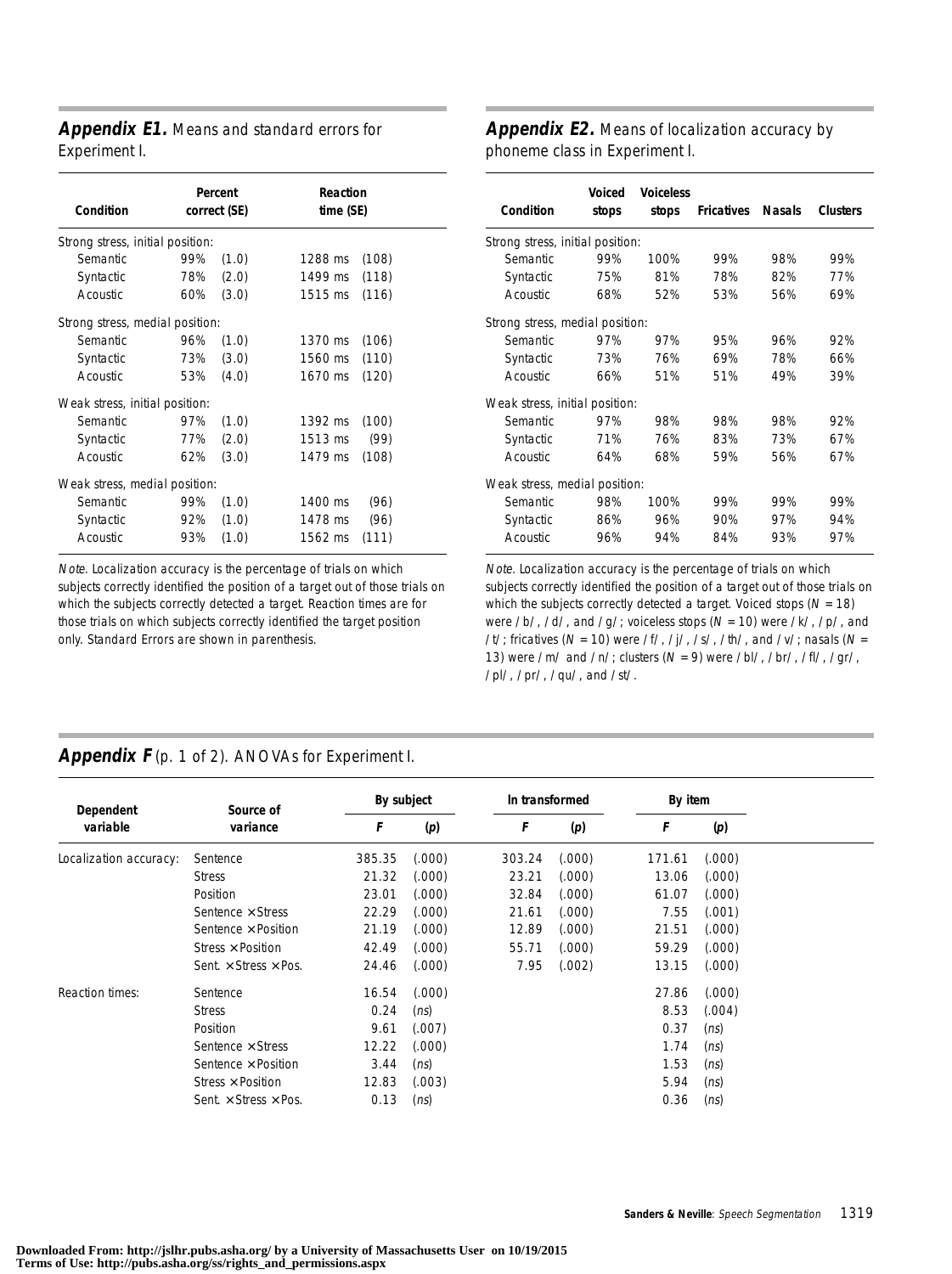#### **Appendix E1.** Means and standard errors for Experiment I.

| Condition                        |     | Percent<br>correct (SE) | Reaction<br>time (SE) |       |  |
|----------------------------------|-----|-------------------------|-----------------------|-------|--|
| Strong stress, initial position: |     |                         |                       |       |  |
| <b>Semantic</b>                  | 99% | (1.0)                   | 1288 ms               | (108) |  |
| Syntactic                        | 78% | (2.0)                   | 1499 ms               | (118) |  |
| Acoustic                         | 60% | (3.0)                   | 1515 ms               | (116) |  |
| Strong stress, medial position:  |     |                         |                       |       |  |
| <b>Semantic</b>                  | 96% | (1.0)                   | 1370 ms               | (106) |  |
| Syntactic                        | 73% | (3.0)                   | 1560 ms               | (110) |  |
| Acoustic                         | 53% | (4.0)                   | 1670 ms               | (120) |  |
| Weak stress, initial position:   |     |                         |                       |       |  |
| <b>Semantic</b>                  | 97% | (1.0)                   | 1392 ms               | (100) |  |
| Syntactic                        | 77% | (2.0)                   | 1513 ms               | (99)  |  |
| Acoustic                         | 62% | (3.0)                   | 1479 ms               | (108) |  |
| Weak stress, medial position:    |     |                         |                       |       |  |
| Semantic                         | 99% | (1.0)                   | 1400 ms               | (96)  |  |
| Syntactic                        | 92% | (1.0)                   | 1478 ms               | (96)  |  |
| Acoustic                         | 93% | (1.0)                   | 1562 ms               | (111) |  |

Note. Localization accuracy is the percentage of trials on which subjects correctly identified the position of a target out of those trials on which the subjects correctly detected a target. Reaction times are for those trials on which subjects correctly identified the target position only. Standard Errors are shown in parenthesis.

#### **Appendix E2.** Means of localization accuracy by phoneme class in Experiment I.

| Condition                        | <b>Voiced</b><br>stops | <b>Voiceless</b><br>stops | <b>Fricatives</b> | <b>Nasals</b> | <b>Clusters</b> |
|----------------------------------|------------------------|---------------------------|-------------------|---------------|-----------------|
| Strong stress, initial position: |                        |                           |                   |               |                 |
| <b>Semantic</b>                  | 99%                    | 100%                      | 99%               | 98%           | 99%             |
| Syntactic                        | 75%                    | 81%                       | 78%               | 82%           | 77%             |
| Acoustic                         | 68%                    | 52%                       | 53%               | 56%           | 69%             |
| Strong stress, medial position:  |                        |                           |                   |               |                 |
| Semantic                         | 97%                    | 97%                       | 95%               | 96%           | 92%             |
| Syntactic                        | 73%                    | 76%                       | 69%               | 78%           | 66%             |
| Acoustic                         | 66%                    | 51%                       | 51%               | 49%           | 39%             |
| Weak stress, initial position:   |                        |                           |                   |               |                 |
| Semantic                         | 97%                    | 98%                       | 98%               | 98%           | 92%             |
| Syntactic                        | 71%                    | 76%                       | 83%               | 73%           | 67%             |
| Acoustic                         | 64%                    | 68%                       | 59%               | 56%           | 67%             |
| Weak stress, medial position:    |                        |                           |                   |               |                 |
| Semantic                         | 98%                    | 100%                      | 99%               | 99%           | 99%             |
| Syntactic                        | 86%                    | 96%                       | 90%               | 97%           | 94%             |
| Acoustic                         | 96%                    | 94%                       | 84%               | 93%           | 97%             |
|                                  |                        |                           |                   |               |                 |

Note. Localization accuracy is the percentage of trials on which subjects correctly identified the position of a target out of those trials on which the subjects correctly detected a target. Voiced stops  $(N = 18)$ were /b/, /d/, and /g/; voiceless stops ( $N = 10$ ) were /k/, /p/, and /t/; fricatives ( $N = 10$ ) were /f/, /j/, /s/, /th/, and /v/; nasals ( $N =$ 13) were /m/ and /n/; clusters ( $N = 9$ ) were /bl/, /br/, /fl/, /gr/, /pl/, /pr/, /qu/, and /st/.

#### **Appendix F** (p. 1 of 2). ANOVAs for Experiment I.

| Dependent              | Source of<br>variance               | By subject |                   |        | In transformed |        | By item           |  |
|------------------------|-------------------------------------|------------|-------------------|--------|----------------|--------|-------------------|--|
| variable               |                                     | F          | (p)               | F      | (p)            | F      | (p)               |  |
| Localization accuracy: | Sentence                            | 385.35     | (.000)            | 303.24 | (000)          | 171.61 | (000)             |  |
|                        | <b>Stress</b>                       | 21.32      | (.000)            | 23.21  | .000)          | 13.06  | (.000)            |  |
|                        | Position                            | 23.01      | (.000)            | 32.84  | .000)          | 61.07  | (000)             |  |
|                        | Sentence $\times$ Stress            | 22.29      | (.000)            | 21.61  | (000)          | 7.55   | (.001)            |  |
|                        | Sentence $\times$ Position          | 21.19      | (.000)            | 12.89  | 000(           | 21.51  | (000)             |  |
|                        | Stress $\times$ Position            | 42.49      | (.000)            | 55.71  | (000)          | 59.29  | (000)             |  |
|                        | Sent. $\times$ Stress $\times$ Pos. | 24.46      | (.000)            | 7.95   | (.002)         | 13.15  | (000)             |  |
| Reaction times:        | Sentence                            | 16.54      | (.000)            |        |                | 27.86  | (.000)            |  |
|                        | <b>Stress</b>                       | 0.24       | (n <sub>S</sub> ) |        |                | 8.53   | (.004)            |  |
|                        | Position                            | 9.61       | (.007)            |        |                | 0.37   | (n <sub>S</sub> ) |  |
|                        | Sentence $\times$ Stress            | 12.22      | (.000)            |        |                | 1.74   | (n <sub>S</sub> ) |  |
|                        | Sentence $\times$ Position          | 3.44       | (n <sub>S</sub> ) |        |                | 1.53   | (n <sub>S</sub> ) |  |
|                        | Stress $\times$ Position            | 12.83      | (.003)            |        |                | 5.94   | (n <sub>S</sub> ) |  |
|                        | Sent. $\times$ Stress $\times$ Pos. | 0.13       | (n <sub>S</sub> ) |        |                | 0.36   | (n <sub>S</sub> ) |  |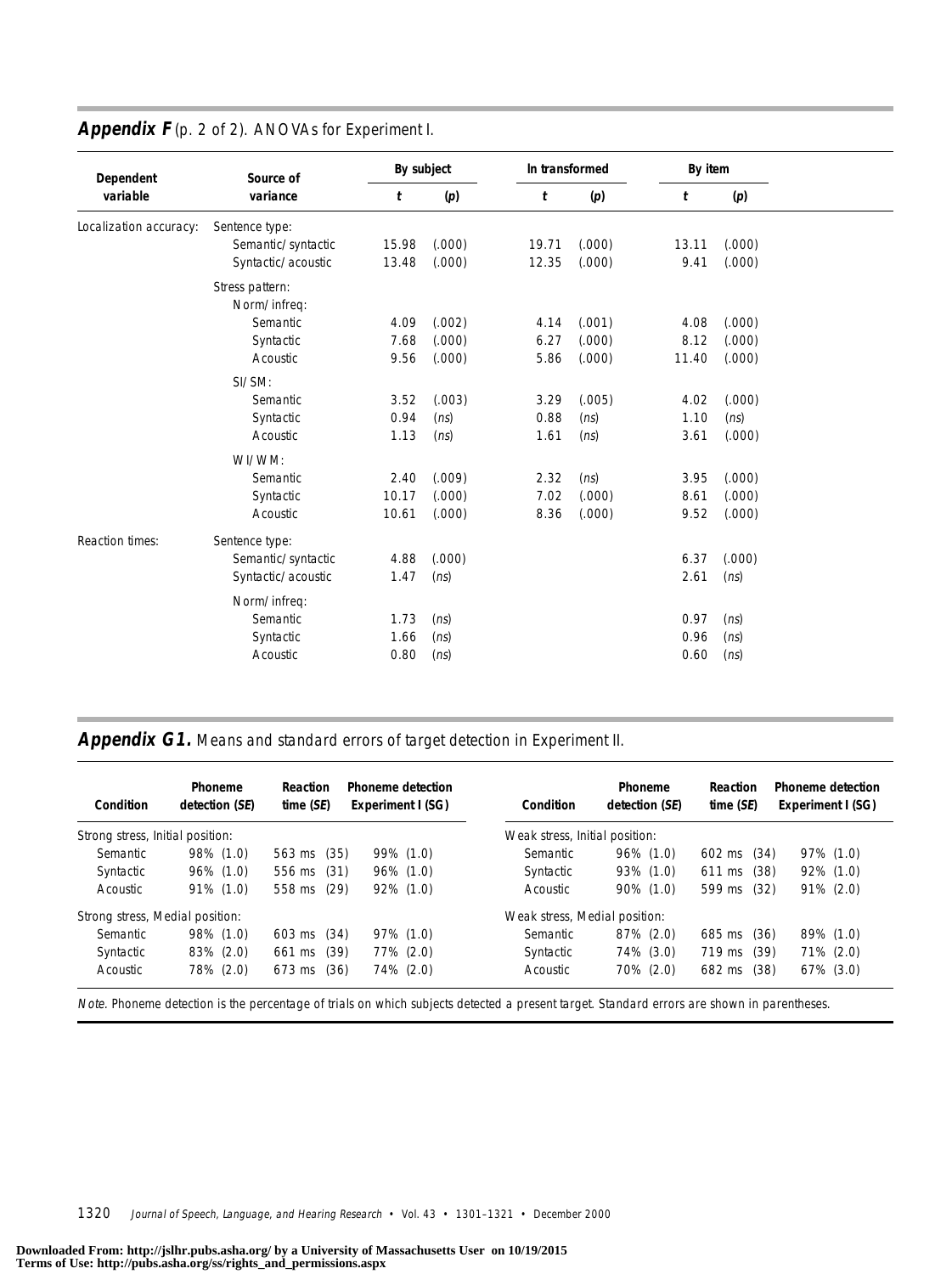| Dependent              |                                 | By subject |                   | In transformed |                   | By item |                   |  |
|------------------------|---------------------------------|------------|-------------------|----------------|-------------------|---------|-------------------|--|
| variable               | Source of<br>variance           | t          | (p)               | t              | (p)               | t       | (p)               |  |
| Localization accuracy: | Sentence type:                  |            |                   |                |                   |         |                   |  |
|                        | Semantic/syntactic              | 15.98      | (.000)            | 19.71          | (.000)            | 13.11   | (.000)            |  |
|                        | Syntactic/acoustic              | 13.48      | (.000)            | 12.35          | (.000)            | 9.41    | (.000)            |  |
|                        | Stress pattern:<br>Norm/infreq: |            |                   |                |                   |         |                   |  |
|                        | Semantic                        | 4.09       | (.002)            | 4.14           | (.001)            | 4.08    | (.000)            |  |
|                        | Syntactic                       | 7.68       | (.000)            | 6.27           | (.000)            | 8.12    | (.000)            |  |
|                        | Acoustic                        | 9.56       | (.000)            | 5.86           | (.000)            | 11.40   | (.000)            |  |
|                        | SI/SM:                          |            |                   |                |                   |         |                   |  |
|                        | Semantic                        | 3.52       | (.003)            | 3.29           | (.005)            | 4.02    | (.000)            |  |
|                        | Syntactic                       | 0.94       | (n <sub>S</sub> ) | 0.88           | (n <sub>S</sub> ) | 1.10    | (n <sub>S</sub> ) |  |
|                        | Acoustic                        | 1.13       | (n <sub>S</sub> ) | 1.61           | (n <sub>S</sub> ) | 3.61    | (.000)            |  |
|                        | WI/WM:                          |            |                   |                |                   |         |                   |  |
|                        | Semantic                        | 2.40       | (.009)            | 2.32           | (n <sub>S</sub> ) | 3.95    | (.000)            |  |
|                        | Syntactic                       | 10.17      | (.000)            | 7.02           | (.000)            | 8.61    | (.000)            |  |
|                        | Acoustic                        | 10.61      | (.000)            | 8.36           | (.000)            | 9.52    | (.000)            |  |
| <b>Reaction times:</b> | Sentence type:                  |            |                   |                |                   |         |                   |  |
|                        | Semantic/syntactic              | 4.88       | (.000)            |                |                   | 6.37    | (.000)            |  |
|                        | Syntactic/acoustic              | 1.47       | (n <sub>S</sub> ) |                |                   | 2.61    | (n <sub>S</sub> ) |  |
|                        | Norm/infreq:                    |            |                   |                |                   |         |                   |  |
|                        | Semantic                        | 1.73       | (n <sub>S</sub> ) |                |                   | 0.97    | (n <sub>S</sub> ) |  |
|                        | Syntactic                       | 1.66       | (n <sub>s</sub> ) |                |                   | 0.96    | (n <sub>S</sub> ) |  |
|                        | Acoustic                        | 0.80       | (n <sub>S</sub> ) |                |                   | 0.60    | (n <sub>S</sub> ) |  |

# **Appendix F** (p. 2 of 2). ANOVAs for Experiment I.

#### Appendix G1. Means and standard errors of target detection in Experiment II.

| Condition                        | Phoneme<br>detection (SE) | Reaction<br>time (SE) | <b>Phoneme detection</b><br>Experiment I (SG) | Condition                      | Phoneme<br>detection (SE) | Reaction<br>time (SE) | Phoneme detection<br><b>Experiment I (SG)</b> |
|----------------------------------|---------------------------|-----------------------|-----------------------------------------------|--------------------------------|---------------------------|-----------------------|-----------------------------------------------|
| Strong stress, Initial position: |                           |                       |                                               | Weak stress, Initial position: |                           |                       |                                               |
| Semantic                         | 98% (1.0)                 | (35)<br>563 ms        | 99% (1.0)                                     | Semantic                       | 96% (1.0)                 | (34)<br>602 ms        | 97% (1.0)                                     |
| Syntactic                        | 96% (1.0)                 | (31)<br>556 ms        | 96% (1.0)                                     | Syntactic                      | 93% (1.0)                 | (38)<br>611 ms        | 92% (1.0)                                     |
| Acoustic                         | 91% (1.0)                 | (29)<br>558 ms        | 92% (1.0)                                     | Acoustic                       | 90% (1.0)                 | (32)<br>599 ms        | 91% (2.0)                                     |
| Strong stress, Medial position:  |                           |                       |                                               | Weak stress, Medial position:  |                           |                       |                                               |
| <b>Semantic</b>                  | 98% (1.0)                 | (34)<br>603 ms        | 97% (1.0)                                     | Semantic                       | 87% (2.0)                 | (36)<br>685 ms        | 89% (1.0)                                     |
| Syntactic                        | 83% (2.0)                 | (39)<br>661 ms        | 77% (2.0)                                     | Syntactic                      | 74% (3.0)                 | (39)<br>719 ms        | 71% (2.0)                                     |
| Acoustic                         | 78% (2.0)                 | (36)<br>673 ms        | 74% (2.0)                                     | Acoustic                       | 70% (2.0)                 | (38)<br>682 ms        | 67% (3.0)                                     |

Note. Phoneme detection is the percentage of trials on which subjects detected a present target. Standard errors are shown in parentheses.